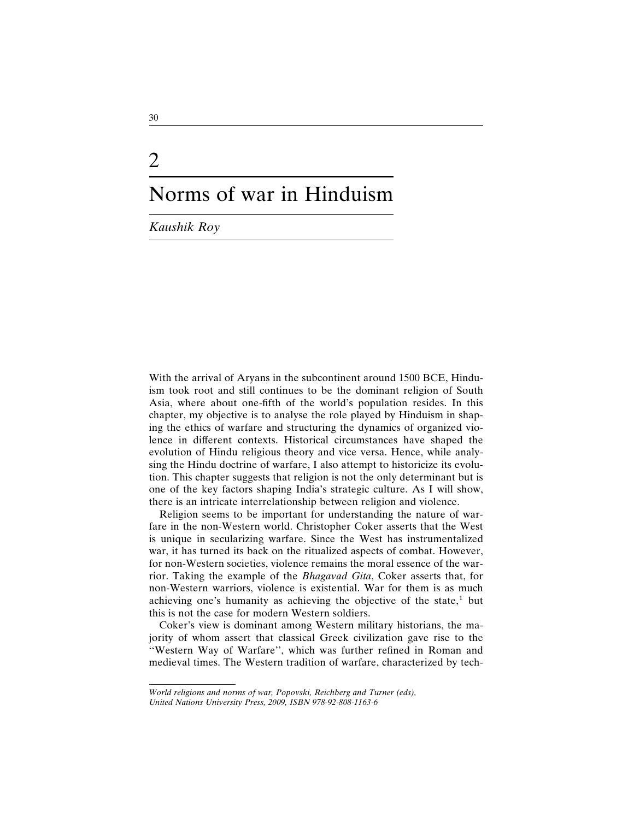# 2 Norms of war in Hinduism

Kaushik Roy

With the arrival of Aryans in the subcontinent around 1500 BCE, Hinduism took root and still continues to be the dominant religion of South Asia, where about one-fifth of the world's population resides. In this chapter, my objective is to analyse the role played by Hinduism in shaping the ethics of warfare and structuring the dynamics of organized violence in different contexts. Historical circumstances have shaped the evolution of Hindu religious theory and vice versa. Hence, while analysing the Hindu doctrine of warfare, I also attempt to historicize its evolution. This chapter suggests that religion is not the only determinant but is one of the key factors shaping India's strategic culture. As I will show, there is an intricate interrelationship between religion and violence.

Religion seems to be important for understanding the nature of warfare in the non-Western world. Christopher Coker asserts that the West is unique in secularizing warfare. Since the West has instrumentalized war, it has turned its back on the ritualized aspects of combat. However, for non-Western societies, violence remains the moral essence of the warrior. Taking the example of the Bhagavad Gita, Coker asserts that, for non-Western warriors, violence is existential. War for them is as much achieving one's humanity as achieving the objective of the state, $<sup>1</sup>$  but</sup> this is not the case for modern Western soldiers.

Coker's view is dominant among Western military historians, the majority of whom assert that classical Greek civilization gave rise to the ''Western Way of Warfare'', which was further refined in Roman and medieval times. The Western tradition of warfare, characterized by tech-

World religions and norms of war, Popovski, Reichberg and Turner (eds), United Nations University Press, 2009, ISBN 978-92-808-1163-6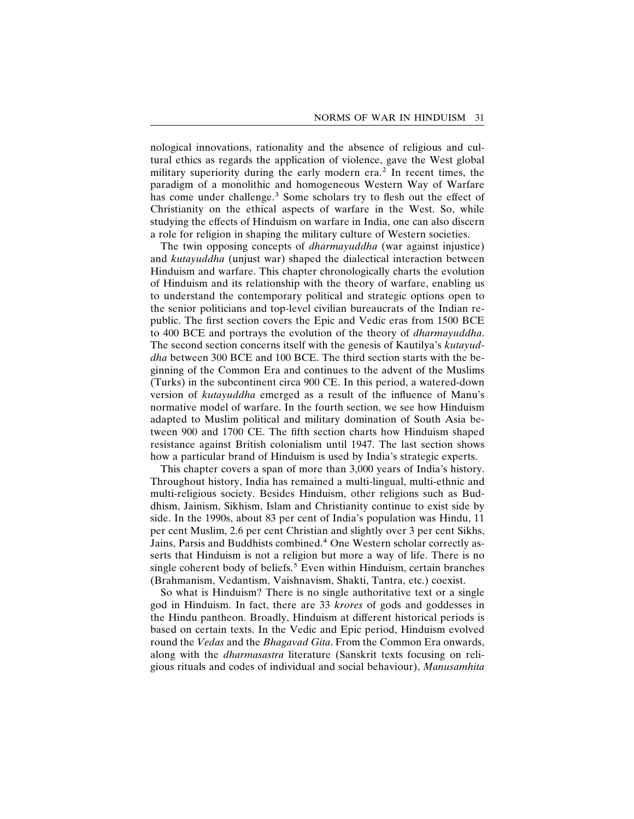nological innovations, rationality and the absence of religious and cultural ethics as regards the application of violence, gave the West global military superiority during the early modern era.<sup>2</sup> In recent times, the paradigm of a monolithic and homogeneous Western Way of Warfare has come under challenge.<sup>3</sup> Some scholars try to flesh out the effect of Christianity on the ethical aspects of warfare in the West. So, while studying the effects of Hinduism on warfare in India, one can also discern a role for religion in shaping the military culture of Western societies.

The twin opposing concepts of *dharmayuddha* (war against injustice) and kutayuddha (unjust war) shaped the dialectical interaction between Hinduism and warfare. This chapter chronologically charts the evolution of Hinduism and its relationship with the theory of warfare, enabling us to understand the contemporary political and strategic options open to the senior politicians and top-level civilian bureaucrats of the Indian republic. The first section covers the Epic and Vedic eras from 1500 BCE to 400 BCE and portrays the evolution of the theory of dharmayuddha. The second section concerns itself with the genesis of Kautilya's kutayuddha between 300 BCE and 100 BCE. The third section starts with the beginning of the Common Era and continues to the advent of the Muslims (Turks) in the subcontinent circa 900 CE. In this period, a watered-down version of kutayuddha emerged as a result of the influence of Manu's normative model of warfare. In the fourth section, we see how Hinduism adapted to Muslim political and military domination of South Asia between 900 and 1700 CE. The fifth section charts how Hinduism shaped resistance against British colonialism until 1947. The last section shows how a particular brand of Hinduism is used by India's strategic experts.

This chapter covers a span of more than 3,000 years of India's history. Throughout history, India has remained a multi-lingual, multi-ethnic and multi-religious society. Besides Hinduism, other religions such as Buddhism, Jainism, Sikhism, Islam and Christianity continue to exist side by side. In the 1990s, about 83 per cent of India's population was Hindu, 11 per cent Muslim, 2.6 per cent Christian and slightly over 3 per cent Sikhs, Jains, Parsis and Buddhists combined.<sup>4</sup> One Western scholar correctly asserts that Hinduism is not a religion but more a way of life. There is no single coherent body of beliefs.<sup>5</sup> Even within Hinduism, certain branches (Brahmanism, Vedantism, Vaishnavism, Shakti, Tantra, etc.) coexist.

So what is Hinduism? There is no single authoritative text or a single god in Hinduism. In fact, there are 33 krores of gods and goddesses in the Hindu pantheon. Broadly, Hinduism at different historical periods is based on certain texts. In the Vedic and Epic period, Hinduism evolved round the Vedas and the Bhagavad Gita. From the Common Era onwards, along with the dharmasastra literature (Sanskrit texts focusing on religious rituals and codes of individual and social behaviour), Manusamhita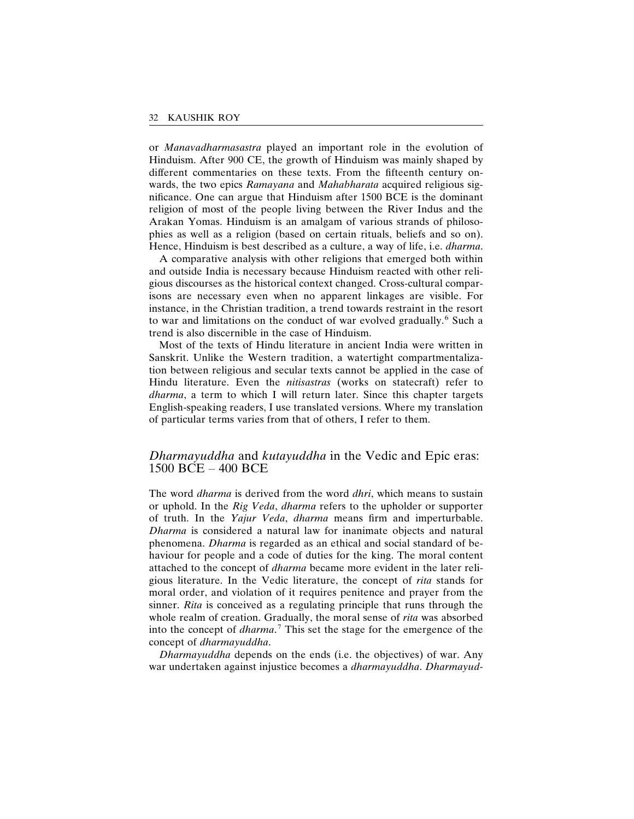or Manavadharmasastra played an important role in the evolution of Hinduism. After 900 CE, the growth of Hinduism was mainly shaped by different commentaries on these texts. From the fifteenth century onwards, the two epics Ramayana and Mahabharata acquired religious significance. One can argue that Hinduism after 1500 BCE is the dominant religion of most of the people living between the River Indus and the Arakan Yomas. Hinduism is an amalgam of various strands of philosophies as well as a religion (based on certain rituals, beliefs and so on). Hence, Hinduism is best described as a culture, a way of life, i.e. dharma.

A comparative analysis with other religions that emerged both within and outside India is necessary because Hinduism reacted with other religious discourses as the historical context changed. Cross-cultural comparisons are necessary even when no apparent linkages are visible. For instance, in the Christian tradition, a trend towards restraint in the resort to war and limitations on the conduct of war evolved gradually.<sup>6</sup> Such a trend is also discernible in the case of Hinduism.

Most of the texts of Hindu literature in ancient India were written in Sanskrit. Unlike the Western tradition, a watertight compartmentalization between religious and secular texts cannot be applied in the case of Hindu literature. Even the nitisastras (works on statecraft) refer to dharma, a term to which I will return later. Since this chapter targets English-speaking readers, I use translated versions. Where my translation of particular terms varies from that of others, I refer to them.

# Dharmayuddha and kutayuddha in the Vedic and Epic eras: 1500 BCE – 400 BCE

The word *dharma* is derived from the word *dhri*, which means to sustain or uphold. In the Rig Veda, dharma refers to the upholder or supporter of truth. In the Yajur Veda, dharma means firm and imperturbable. Dharma is considered a natural law for inanimate objects and natural phenomena. Dharma is regarded as an ethical and social standard of behaviour for people and a code of duties for the king. The moral content attached to the concept of dharma became more evident in the later religious literature. In the Vedic literature, the concept of rita stands for moral order, and violation of it requires penitence and prayer from the sinner. Rita is conceived as a regulating principle that runs through the whole realm of creation. Gradually, the moral sense of rita was absorbed into the concept of dharma.7 This set the stage for the emergence of the concept of dharmayuddha.

Dharmayuddha depends on the ends (i.e. the objectives) of war. Any war undertaken against injustice becomes a dharmayuddha. Dharmayud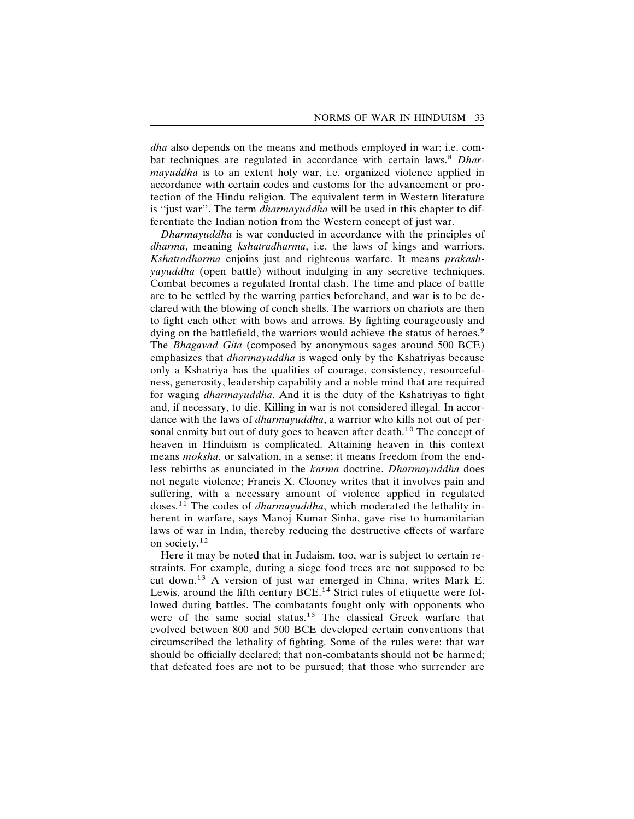dha also depends on the means and methods employed in war; i.e. combat techniques are regulated in accordance with certain laws.<sup>8</sup> Dharmayuddha is to an extent holy war, i.e. organized violence applied in accordance with certain codes and customs for the advancement or protection of the Hindu religion. The equivalent term in Western literature is "just war". The term *dharmayuddha* will be used in this chapter to differentiate the Indian notion from the Western concept of just war.

Dharmayuddha is war conducted in accordance with the principles of dharma, meaning kshatradharma, i.e. the laws of kings and warriors. Kshatradharma enjoins just and righteous warfare. It means prakashyayuddha (open battle) without indulging in any secretive techniques. Combat becomes a regulated frontal clash. The time and place of battle are to be settled by the warring parties beforehand, and war is to be declared with the blowing of conch shells. The warriors on chariots are then to fight each other with bows and arrows. By fighting courageously and dying on the battlefield, the warriors would achieve the status of heroes.<sup>9</sup> The Bhagavad Gita (composed by anonymous sages around 500 BCE) emphasizes that dharmayuddha is waged only by the Kshatriyas because only a Kshatriya has the qualities of courage, consistency, resourcefulness, generosity, leadership capability and a noble mind that are required for waging dharmayuddha. And it is the duty of the Kshatriyas to fight and, if necessary, to die. Killing in war is not considered illegal. In accordance with the laws of dharmayuddha, a warrior who kills not out of personal enmity but out of duty goes to heaven after death.<sup>10</sup> The concept of heaven in Hinduism is complicated. Attaining heaven in this context means moksha, or salvation, in a sense; it means freedom from the endless rebirths as enunciated in the karma doctrine. Dharmayuddha does not negate violence; Francis X. Clooney writes that it involves pain and suffering, with a necessary amount of violence applied in regulated doses.<sup>11</sup> The codes of *dharmayuddha*, which moderated the lethality inherent in warfare, says Manoj Kumar Sinha, gave rise to humanitarian laws of war in India, thereby reducing the destructive effects of warfare on society.12

Here it may be noted that in Judaism, too, war is subject to certain restraints. For example, during a siege food trees are not supposed to be cut down.13 A version of just war emerged in China, writes Mark E. Lewis, around the fifth century BCE.<sup>14</sup> Strict rules of etiquette were followed during battles. The combatants fought only with opponents who were of the same social status.<sup>15</sup> The classical Greek warfare that evolved between 800 and 500 BCE developed certain conventions that circumscribed the lethality of fighting. Some of the rules were: that war should be officially declared; that non-combatants should not be harmed; that defeated foes are not to be pursued; that those who surrender are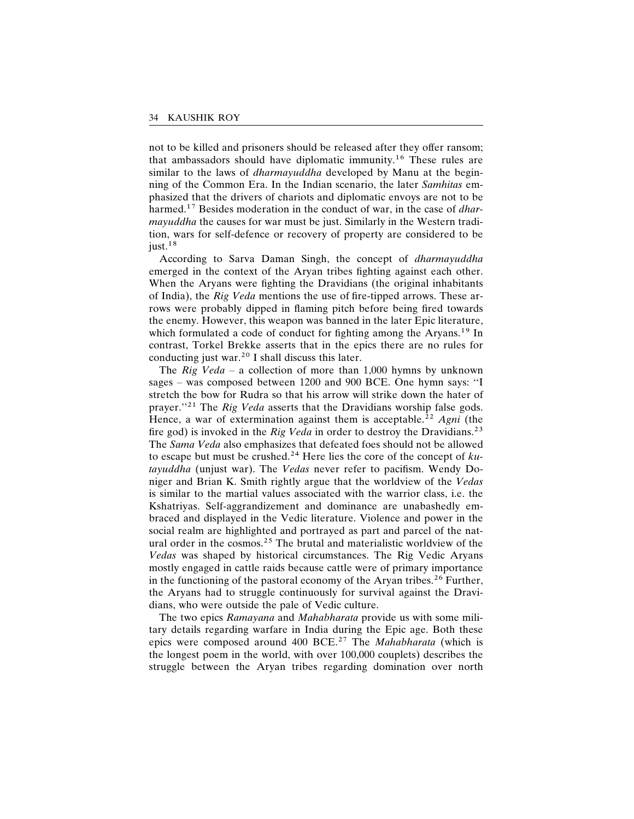not to be killed and prisoners should be released after they offer ransom; that ambassadors should have diplomatic immunity.16 These rules are similar to the laws of dharmayuddha developed by Manu at the beginning of the Common Era. In the Indian scenario, the later Samhitas emphasized that the drivers of chariots and diplomatic envoys are not to be harmed.<sup>17</sup> Besides moderation in the conduct of war, in the case of *dhar*mayuddha the causes for war must be just. Similarly in the Western tradition, wars for self-defence or recovery of property are considered to be  $i$ ust.<sup>18</sup>

According to Sarva Daman Singh, the concept of dharmayuddha emerged in the context of the Aryan tribes fighting against each other. When the Aryans were fighting the Dravidians (the original inhabitants of India), the Rig Veda mentions the use of fire-tipped arrows. These arrows were probably dipped in flaming pitch before being fired towards the enemy. However, this weapon was banned in the later Epic literature, which formulated a code of conduct for fighting among the Aryans.<sup>19</sup> In contrast, Torkel Brekke asserts that in the epics there are no rules for conducting just war.20 I shall discuss this later.

The Rig Veda – a collection of more than 1,000 hymns by unknown sages – was composed between 1200 and 900 BCE. One hymn says: ''I stretch the bow for Rudra so that his arrow will strike down the hater of prayer."<sup>21</sup> The Rig Veda asserts that the Dravidians worship false gods. Hence, a war of extermination against them is acceptable.<sup>22</sup> Agni (the fire god) is invoked in the Rig Veda in order to destroy the Dravidians.<sup>23</sup> The Sama Veda also emphasizes that defeated foes should not be allowed to escape but must be crushed.<sup>24</sup> Here lies the core of the concept of  $ku$ tayuddha (unjust war). The Vedas never refer to pacifism. Wendy Doniger and Brian K. Smith rightly argue that the worldview of the Vedas is similar to the martial values associated with the warrior class, i.e. the Kshatriyas. Self-aggrandizement and dominance are unabashedly embraced and displayed in the Vedic literature. Violence and power in the social realm are highlighted and portrayed as part and parcel of the natural order in the cosmos.<sup>25</sup> The brutal and materialistic worldview of the Vedas was shaped by historical circumstances. The Rig Vedic Aryans mostly engaged in cattle raids because cattle were of primary importance in the functioning of the pastoral economy of the Aryan tribes.<sup>26</sup> Further, the Aryans had to struggle continuously for survival against the Dravidians, who were outside the pale of Vedic culture.

The two epics Ramayana and Mahabharata provide us with some military details regarding warfare in India during the Epic age. Both these epics were composed around 400 BCE.<sup>27</sup> The Mahabharata (which is the longest poem in the world, with over 100,000 couplets) describes the struggle between the Aryan tribes regarding domination over north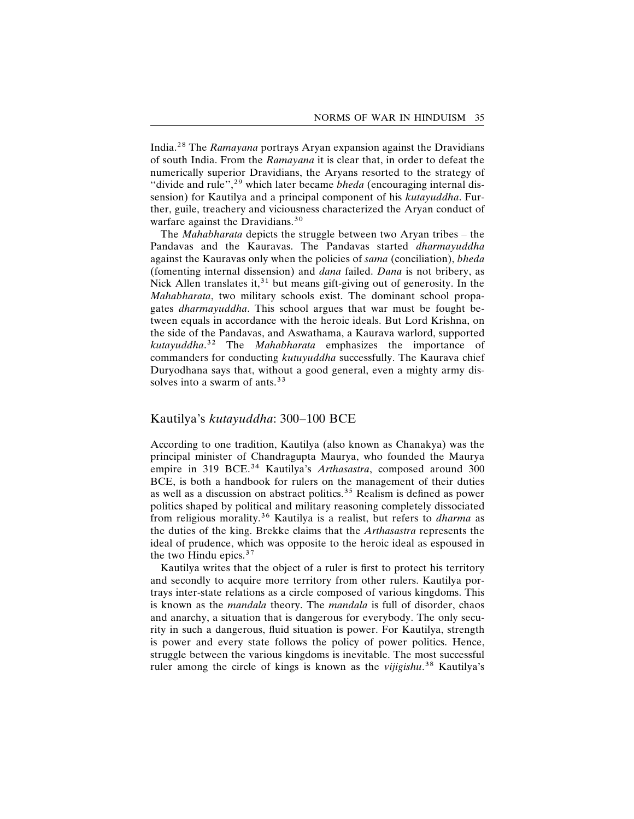India.28 The Ramayana portrays Aryan expansion against the Dravidians of south India. From the Ramayana it is clear that, in order to defeat the numerically superior Dravidians, the Aryans resorted to the strategy of "divide and rule",<sup>29</sup> which later became *bheda* (encouraging internal dissension) for Kautilya and a principal component of his kutayuddha. Further, guile, treachery and viciousness characterized the Aryan conduct of warfare against the Dravidians.<sup>30</sup>

The *Mahabharata* depicts the struggle between two Aryan tribes – the Pandavas and the Kauravas. The Pandavas started dharmayuddha against the Kauravas only when the policies of sama (conciliation), bheda (fomenting internal dissension) and dana failed. Dana is not bribery, as Nick Allen translates it, $31$  but means gift-giving out of generosity. In the Mahabharata, two military schools exist. The dominant school propagates dharmayuddha. This school argues that war must be fought between equals in accordance with the heroic ideals. But Lord Krishna, on the side of the Pandavas, and Aswathama, a Kaurava warlord, supported  $kutayuddha.<sup>32</sup>$  The *Mahabharata* emphasizes the importance of commanders for conducting kutuyuddha successfully. The Kaurava chief Duryodhana says that, without a good general, even a mighty army dissolves into a swarm of ants. $33$ 

### Kautilya's kutayuddha: 300–100 BCE

According to one tradition, Kautilya (also known as Chanakya) was the principal minister of Chandragupta Maurya, who founded the Maurya empire in 319 BCE.<sup>34</sup> Kautilya's Arthasastra, composed around 300 BCE, is both a handbook for rulers on the management of their duties as well as a discussion on abstract politics.<sup>35</sup> Realism is defined as power politics shaped by political and military reasoning completely dissociated from religious morality.36 Kautilya is a realist, but refers to dharma as the duties of the king. Brekke claims that the Arthasastra represents the ideal of prudence, which was opposite to the heroic ideal as espoused in the two Hindu epics. $37$ 

Kautilya writes that the object of a ruler is first to protect his territory and secondly to acquire more territory from other rulers. Kautilya portrays inter-state relations as a circle composed of various kingdoms. This is known as the *mandala* theory. The *mandala* is full of disorder, chaos and anarchy, a situation that is dangerous for everybody. The only security in such a dangerous, fluid situation is power. For Kautilya, strength is power and every state follows the policy of power politics. Hence, struggle between the various kingdoms is inevitable. The most successful ruler among the circle of kings is known as the vijigishu.38 Kautilya's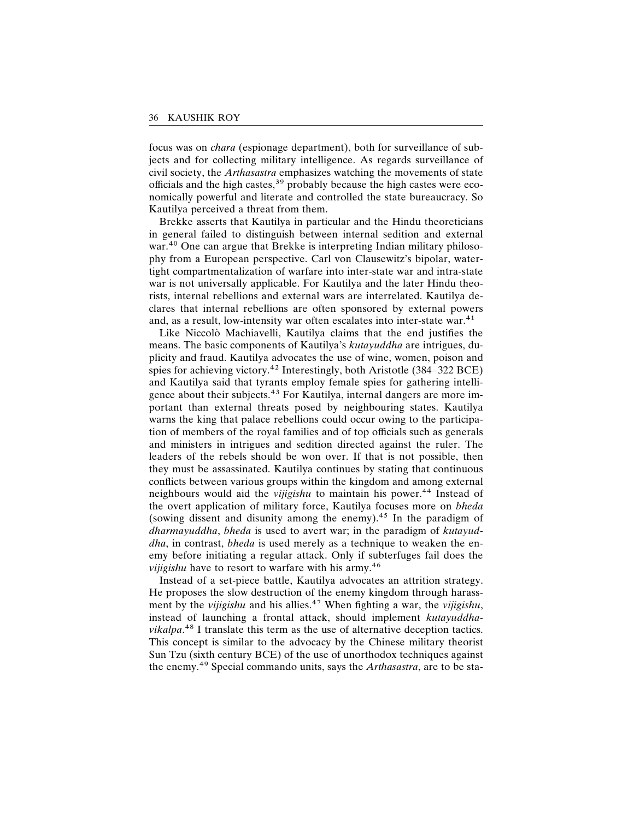focus was on chara (espionage department), both for surveillance of subjects and for collecting military intelligence. As regards surveillance of civil society, the Arthasastra emphasizes watching the movements of state officials and the high castes, $39$  probably because the high castes were economically powerful and literate and controlled the state bureaucracy. So Kautilya perceived a threat from them.

Brekke asserts that Kautilya in particular and the Hindu theoreticians in general failed to distinguish between internal sedition and external war.<sup>40</sup> One can argue that Brekke is interpreting Indian military philosophy from a European perspective. Carl von Clausewitz's bipolar, watertight compartmentalization of warfare into inter-state war and intra-state war is not universally applicable. For Kautilya and the later Hindu theorists, internal rebellions and external wars are interrelated. Kautilya declares that internal rebellions are often sponsored by external powers and, as a result, low-intensity war often escalates into inter-state war.<sup>41</sup>

Like Niccolò Machiavelli, Kautilya claims that the end justifies the means. The basic components of Kautilya's kutayuddha are intrigues, duplicity and fraud. Kautilya advocates the use of wine, women, poison and spies for achieving victory.42 Interestingly, both Aristotle (384–322 BCE) and Kautilya said that tyrants employ female spies for gathering intelligence about their subjects.43 For Kautilya, internal dangers are more important than external threats posed by neighbouring states. Kautilya warns the king that palace rebellions could occur owing to the participation of members of the royal families and of top officials such as generals and ministers in intrigues and sedition directed against the ruler. The leaders of the rebels should be won over. If that is not possible, then they must be assassinated. Kautilya continues by stating that continuous conflicts between various groups within the kingdom and among external neighbours would aid the *vijigishu* to maintain his power.<sup>44</sup> Instead of the overt application of military force, Kautilya focuses more on bheda (sowing dissent and disunity among the enemy).45 In the paradigm of dharmayuddha, bheda is used to avert war; in the paradigm of kutayuddha, in contrast, bheda is used merely as a technique to weaken the enemy before initiating a regular attack. Only if subterfuges fail does the *vijigishu* have to resort to warfare with his army.<sup>46</sup>

Instead of a set-piece battle, Kautilya advocates an attrition strategy. He proposes the slow destruction of the enemy kingdom through harassment by the *vijigishu* and his allies.<sup>47</sup> When fighting a war, the *vijigishu*, instead of launching a frontal attack, should implement kutayuddhavikalpa.48 I translate this term as the use of alternative deception tactics. This concept is similar to the advocacy by the Chinese military theorist Sun Tzu (sixth century BCE) of the use of unorthodox techniques against the enemy.49 Special commando units, says the Arthasastra, are to be sta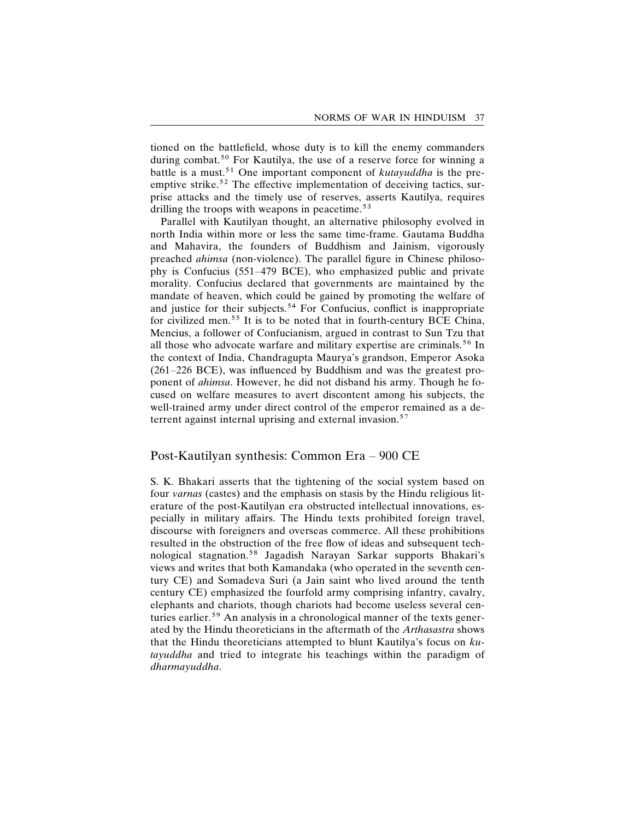tioned on the battlefield, whose duty is to kill the enemy commanders during combat.<sup>50</sup> For Kautilya, the use of a reserve force for winning a battle is a must.<sup>51</sup> One important component of *kutayuddha* is the preemptive strike.<sup>52</sup> The effective implementation of deceiving tactics, surprise attacks and the timely use of reserves, asserts Kautilya, requires drilling the troops with weapons in peacetime.<sup>53</sup>

Parallel with Kautilyan thought, an alternative philosophy evolved in north India within more or less the same time-frame. Gautama Buddha and Mahavira, the founders of Buddhism and Jainism, vigorously preached ahimsa (non-violence). The parallel figure in Chinese philosophy is Confucius (551–479 BCE), who emphasized public and private morality. Confucius declared that governments are maintained by the mandate of heaven, which could be gained by promoting the welfare of and justice for their subjects.<sup>54</sup> For Confucius, conflict is inappropriate for civilized men.55 It is to be noted that in fourth-century BCE China, Mencius, a follower of Confucianism, argued in contrast to Sun Tzu that all those who advocate warfare and military expertise are criminals.<sup>56</sup> In the context of India, Chandragupta Maurya's grandson, Emperor Asoka (261–226 BCE), was influenced by Buddhism and was the greatest proponent of ahimsa. However, he did not disband his army. Though he focused on welfare measures to avert discontent among his subjects, the well-trained army under direct control of the emperor remained as a deterrent against internal uprising and external invasion.<sup>57</sup>

## Post-Kautilyan synthesis: Common Era – 900 CE

S. K. Bhakari asserts that the tightening of the social system based on four varnas (castes) and the emphasis on stasis by the Hindu religious literature of the post-Kautilyan era obstructed intellectual innovations, especially in military affairs. The Hindu texts prohibited foreign travel, discourse with foreigners and overseas commerce. All these prohibitions resulted in the obstruction of the free flow of ideas and subsequent technological stagnation.58 Jagadish Narayan Sarkar supports Bhakari's views and writes that both Kamandaka (who operated in the seventh century CE) and Somadeva Suri (a Jain saint who lived around the tenth century CE) emphasized the fourfold army comprising infantry, cavalry, elephants and chariots, though chariots had become useless several centuries earlier.<sup>59</sup> An analysis in a chronological manner of the texts generated by the Hindu theoreticians in the aftermath of the Arthasastra shows that the Hindu theoreticians attempted to blunt Kautilya's focus on kutayuddha and tried to integrate his teachings within the paradigm of dharmayuddha.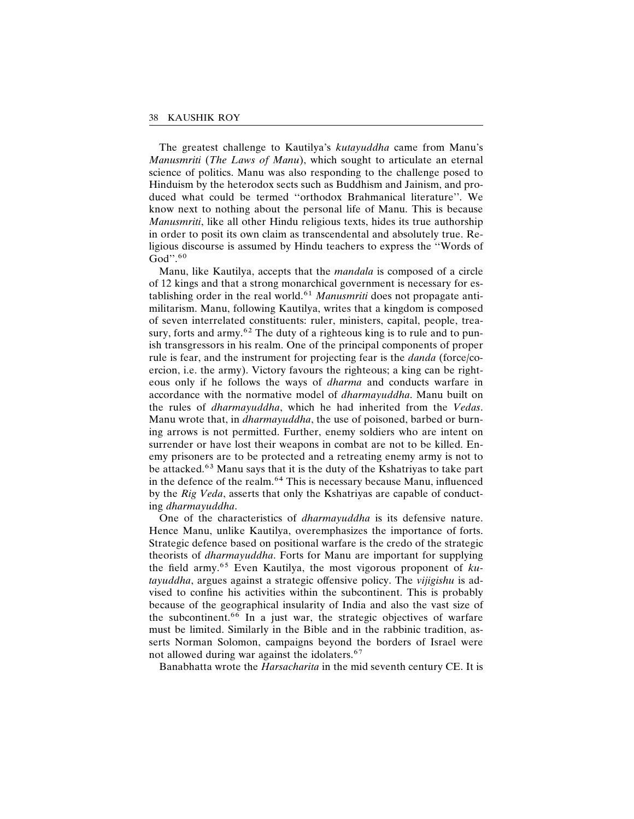The greatest challenge to Kautilya's kutayuddha came from Manu's Manusmriti (The Laws of Manu), which sought to articulate an eternal science of politics. Manu was also responding to the challenge posed to Hinduism by the heterodox sects such as Buddhism and Jainism, and produced what could be termed ''orthodox Brahmanical literature''. We know next to nothing about the personal life of Manu. This is because Manusmriti, like all other Hindu religious texts, hides its true authorship in order to posit its own claim as transcendental and absolutely true. Religious discourse is assumed by Hindu teachers to express the ''Words of  $God$ ".<sup>60</sup>

Manu, like Kautilya, accepts that the mandala is composed of a circle of 12 kings and that a strong monarchical government is necessary for establishing order in the real world.<sup>61</sup> Manusmriti does not propagate antimilitarism. Manu, following Kautilya, writes that a kingdom is composed of seven interrelated constituents: ruler, ministers, capital, people, treasury, forts and army.<sup>62</sup> The duty of a righteous king is to rule and to punish transgressors in his realm. One of the principal components of proper rule is fear, and the instrument for projecting fear is the danda (force/coercion, i.e. the army). Victory favours the righteous; a king can be righteous only if he follows the ways of dharma and conducts warfare in accordance with the normative model of dharmayuddha. Manu built on the rules of dharmayuddha, which he had inherited from the Vedas. Manu wrote that, in dharmayuddha, the use of poisoned, barbed or burning arrows is not permitted. Further, enemy soldiers who are intent on surrender or have lost their weapons in combat are not to be killed. Enemy prisoners are to be protected and a retreating enemy army is not to be attacked.63 Manu says that it is the duty of the Kshatriyas to take part in the defence of the realm.64 This is necessary because Manu, influenced by the Rig Veda, asserts that only the Kshatriyas are capable of conducting dharmayuddha.

One of the characteristics of dharmayuddha is its defensive nature. Hence Manu, unlike Kautilya, overemphasizes the importance of forts. Strategic defence based on positional warfare is the credo of the strategic theorists of dharmayuddha. Forts for Manu are important for supplying the field army.<sup>65</sup> Even Kautilya, the most vigorous proponent of  $ku$ tayuddha, argues against a strategic offensive policy. The vijigishu is advised to confine his activities within the subcontinent. This is probably because of the geographical insularity of India and also the vast size of the subcontinent.66 In a just war, the strategic objectives of warfare must be limited. Similarly in the Bible and in the rabbinic tradition, asserts Norman Solomon, campaigns beyond the borders of Israel were not allowed during war against the idolaters.<sup>67</sup>

Banabhatta wrote the Harsacharita in the mid seventh century CE. It is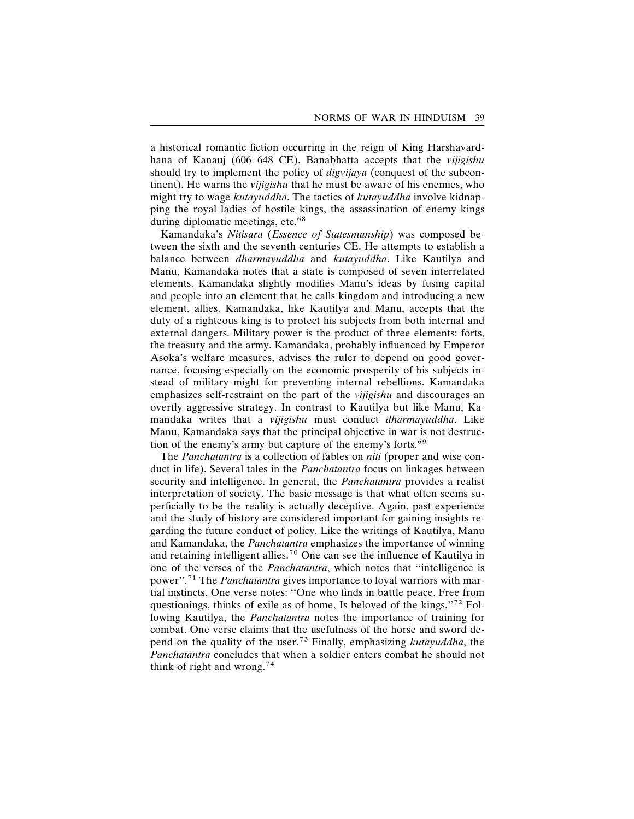a historical romantic fiction occurring in the reign of King Harshavardhana of Kanauj (606–648 CE). Banabhatta accepts that the *vijigishu* should try to implement the policy of *digvijaya* (conquest of the subcontinent). He warns the *vijigishu* that he must be aware of his enemies, who might try to wage *kutayuddha*. The tactics of *kutayuddha* involve kidnapping the royal ladies of hostile kings, the assassination of enemy kings during diplomatic meetings, etc.<sup>68</sup>

Kamandaka's Nitisara (Essence of Statesmanship) was composed between the sixth and the seventh centuries CE. He attempts to establish a balance between dharmayuddha and kutayuddha. Like Kautilya and Manu, Kamandaka notes that a state is composed of seven interrelated elements. Kamandaka slightly modifies Manu's ideas by fusing capital and people into an element that he calls kingdom and introducing a new element, allies. Kamandaka, like Kautilya and Manu, accepts that the duty of a righteous king is to protect his subjects from both internal and external dangers. Military power is the product of three elements: forts, the treasury and the army. Kamandaka, probably influenced by Emperor Asoka's welfare measures, advises the ruler to depend on good governance, focusing especially on the economic prosperity of his subjects instead of military might for preventing internal rebellions. Kamandaka emphasizes self-restraint on the part of the *vijigishu* and discourages an overtly aggressive strategy. In contrast to Kautilya but like Manu, Kamandaka writes that a vijigishu must conduct dharmayuddha. Like Manu, Kamandaka says that the principal objective in war is not destruction of the enemy's army but capture of the enemy's forts.<sup>69</sup>

The *Panchatantra* is a collection of fables on *niti* (proper and wise conduct in life). Several tales in the Panchatantra focus on linkages between security and intelligence. In general, the *Panchatantra* provides a realist interpretation of society. The basic message is that what often seems superficially to be the reality is actually deceptive. Again, past experience and the study of history are considered important for gaining insights regarding the future conduct of policy. Like the writings of Kautilya, Manu and Kamandaka, the Panchatantra emphasizes the importance of winning and retaining intelligent allies.70 One can see the influence of Kautilya in one of the verses of the Panchatantra, which notes that ''intelligence is power".<sup>71</sup> The *Panchatantra* gives importance to loyal warriors with martial instincts. One verse notes: ''One who finds in battle peace, Free from questionings, thinks of exile as of home, Is beloved of the kings."<sup>72</sup> Following Kautilya, the Panchatantra notes the importance of training for combat. One verse claims that the usefulness of the horse and sword depend on the quality of the user.<sup>73</sup> Finally, emphasizing *kutayuddha*, the Panchatantra concludes that when a soldier enters combat he should not think of right and wrong.<sup>74</sup>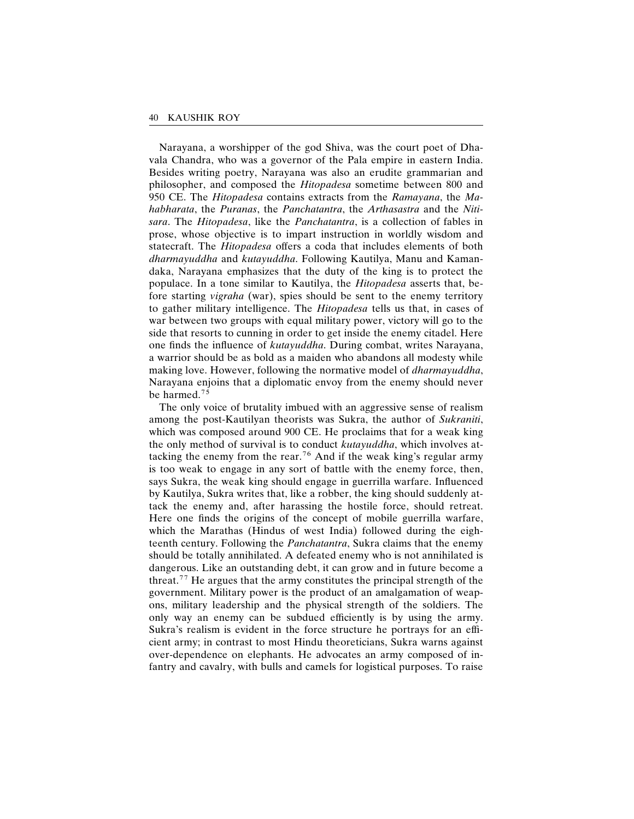Narayana, a worshipper of the god Shiva, was the court poet of Dhavala Chandra, who was a governor of the Pala empire in eastern India. Besides writing poetry, Narayana was also an erudite grammarian and philosopher, and composed the Hitopadesa sometime between 800 and 950 CE. The Hitopadesa contains extracts from the Ramayana, the Mahabharata, the Puranas, the Panchatantra, the Arthasastra and the Nitisara. The Hitopadesa, like the Panchatantra, is a collection of fables in prose, whose objective is to impart instruction in worldly wisdom and statecraft. The Hitopadesa offers a coda that includes elements of both dharmayuddha and kutayuddha. Following Kautilya, Manu and Kamandaka, Narayana emphasizes that the duty of the king is to protect the populace. In a tone similar to Kautilya, the Hitopadesa asserts that, before starting vigraha (war), spies should be sent to the enemy territory to gather military intelligence. The Hitopadesa tells us that, in cases of war between two groups with equal military power, victory will go to the side that resorts to cunning in order to get inside the enemy citadel. Here one finds the influence of kutayuddha. During combat, writes Narayana, a warrior should be as bold as a maiden who abandons all modesty while making love. However, following the normative model of dharmayuddha, Narayana enjoins that a diplomatic envoy from the enemy should never be harmed.75

The only voice of brutality imbued with an aggressive sense of realism among the post-Kautilyan theorists was Sukra, the author of Sukraniti, which was composed around 900 CE. He proclaims that for a weak king the only method of survival is to conduct kutayuddha, which involves attacking the enemy from the rear.<sup>76</sup> And if the weak king's regular army is too weak to engage in any sort of battle with the enemy force, then, says Sukra, the weak king should engage in guerrilla warfare. Influenced by Kautilya, Sukra writes that, like a robber, the king should suddenly attack the enemy and, after harassing the hostile force, should retreat. Here one finds the origins of the concept of mobile guerrilla warfare, which the Marathas (Hindus of west India) followed during the eighteenth century. Following the Panchatantra, Sukra claims that the enemy should be totally annihilated. A defeated enemy who is not annihilated is dangerous. Like an outstanding debt, it can grow and in future become a threat.<sup>77</sup> He argues that the army constitutes the principal strength of the government. Military power is the product of an amalgamation of weapons, military leadership and the physical strength of the soldiers. The only way an enemy can be subdued efficiently is by using the army. Sukra's realism is evident in the force structure he portrays for an efficient army; in contrast to most Hindu theoreticians, Sukra warns against over-dependence on elephants. He advocates an army composed of infantry and cavalry, with bulls and camels for logistical purposes. To raise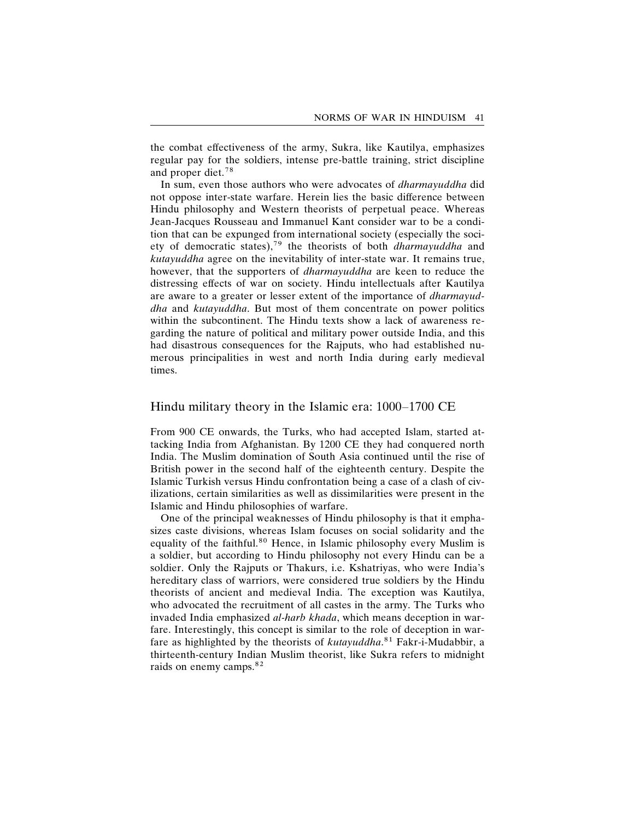the combat effectiveness of the army, Sukra, like Kautilya, emphasizes regular pay for the soldiers, intense pre-battle training, strict discipline and proper diet.78

In sum, even those authors who were advocates of dharmayuddha did not oppose inter-state warfare. Herein lies the basic difference between Hindu philosophy and Western theorists of perpetual peace. Whereas Jean-Jacques Rousseau and Immanuel Kant consider war to be a condition that can be expunged from international society (especially the society of democratic states),<sup>79</sup> the theorists of both *dharmayuddha* and kutayuddha agree on the inevitability of inter-state war. It remains true, however, that the supporters of dharmayuddha are keen to reduce the distressing effects of war on society. Hindu intellectuals after Kautilya are aware to a greater or lesser extent of the importance of dharmayuddha and kutayuddha. But most of them concentrate on power politics within the subcontinent. The Hindu texts show a lack of awareness regarding the nature of political and military power outside India, and this had disastrous consequences for the Rajputs, who had established numerous principalities in west and north India during early medieval times.

#### Hindu military theory in the Islamic era: 1000–1700 CE

From 900 CE onwards, the Turks, who had accepted Islam, started attacking India from Afghanistan. By 1200 CE they had conquered north India. The Muslim domination of South Asia continued until the rise of British power in the second half of the eighteenth century. Despite the Islamic Turkish versus Hindu confrontation being a case of a clash of civilizations, certain similarities as well as dissimilarities were present in the Islamic and Hindu philosophies of warfare.

One of the principal weaknesses of Hindu philosophy is that it emphasizes caste divisions, whereas Islam focuses on social solidarity and the equality of the faithful.<sup>80</sup> Hence, in Islamic philosophy every Muslim is a soldier, but according to Hindu philosophy not every Hindu can be a soldier. Only the Rajputs or Thakurs, i.e. Kshatriyas, who were India's hereditary class of warriors, were considered true soldiers by the Hindu theorists of ancient and medieval India. The exception was Kautilya, who advocated the recruitment of all castes in the army. The Turks who invaded India emphasized *al-harb khada*, which means deception in warfare. Interestingly, this concept is similar to the role of deception in warfare as highlighted by the theorists of  $kutayuddha.<sup>81</sup> Fakr-i-Mudabbir, a$ thirteenth-century Indian Muslim theorist, like Sukra refers to midnight raids on enemy camps.82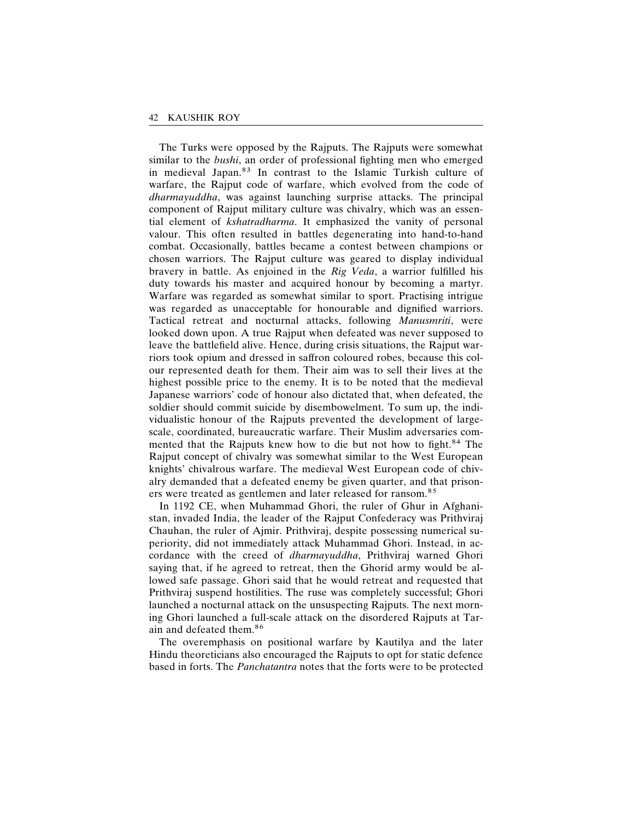#### 42 KAUSHIK ROY

The Turks were opposed by the Rajputs. The Rajputs were somewhat similar to the bushi, an order of professional fighting men who emerged in medieval Japan.83 In contrast to the Islamic Turkish culture of warfare, the Rajput code of warfare, which evolved from the code of dharmayuddha, was against launching surprise attacks. The principal component of Rajput military culture was chivalry, which was an essential element of kshatradharma. It emphasized the vanity of personal valour. This often resulted in battles degenerating into hand-to-hand combat. Occasionally, battles became a contest between champions or chosen warriors. The Rajput culture was geared to display individual bravery in battle. As enjoined in the Rig Veda, a warrior fulfilled his duty towards his master and acquired honour by becoming a martyr. Warfare was regarded as somewhat similar to sport. Practising intrigue was regarded as unacceptable for honourable and dignified warriors. Tactical retreat and nocturnal attacks, following Manusmriti, were looked down upon. A true Rajput when defeated was never supposed to leave the battlefield alive. Hence, during crisis situations, the Rajput warriors took opium and dressed in saffron coloured robes, because this colour represented death for them. Their aim was to sell their lives at the highest possible price to the enemy. It is to be noted that the medieval Japanese warriors' code of honour also dictated that, when defeated, the soldier should commit suicide by disembowelment. To sum up, the individualistic honour of the Rajputs prevented the development of largescale, coordinated, bureaucratic warfare. Their Muslim adversaries commented that the Rajputs knew how to die but not how to fight.<sup>84</sup> The Rajput concept of chivalry was somewhat similar to the West European knights' chivalrous warfare. The medieval West European code of chivalry demanded that a defeated enemy be given quarter, and that prisoners were treated as gentlemen and later released for ransom.<sup>85</sup>

In 1192 CE, when Muhammad Ghori, the ruler of Ghur in Afghanistan, invaded India, the leader of the Rajput Confederacy was Prithviraj Chauhan, the ruler of Ajmir. Prithviraj, despite possessing numerical superiority, did not immediately attack Muhammad Ghori. Instead, in accordance with the creed of dharmayuddha, Prithviraj warned Ghori saying that, if he agreed to retreat, then the Ghorid army would be allowed safe passage. Ghori said that he would retreat and requested that Prithviraj suspend hostilities. The ruse was completely successful; Ghori launched a nocturnal attack on the unsuspecting Rajputs. The next morning Ghori launched a full-scale attack on the disordered Rajputs at Tarain and defeated them.86

The overemphasis on positional warfare by Kautilya and the later Hindu theoreticians also encouraged the Rajputs to opt for static defence based in forts. The Panchatantra notes that the forts were to be protected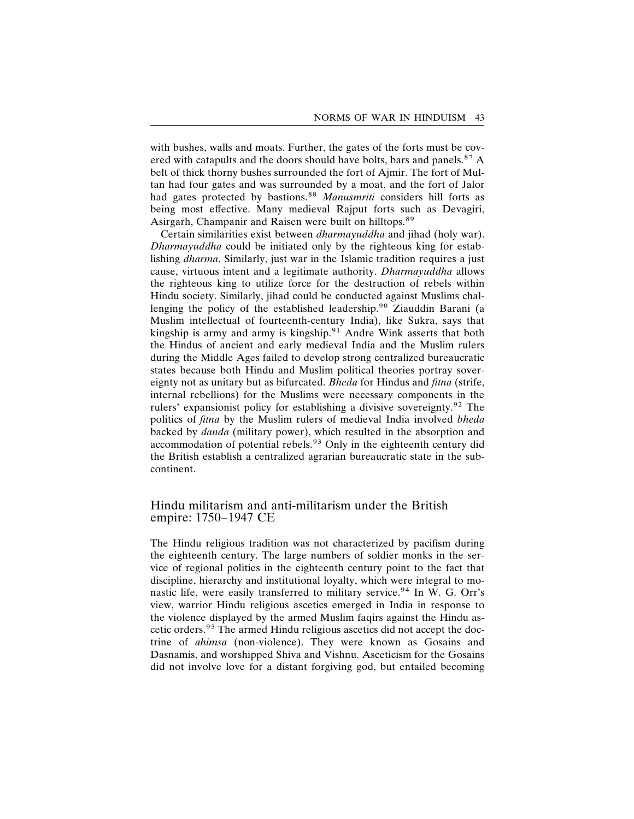with bushes, walls and moats. Further, the gates of the forts must be covered with catapults and the doors should have bolts, bars and panels.<sup>87</sup> A belt of thick thorny bushes surrounded the fort of Ajmir. The fort of Multan had four gates and was surrounded by a moat, and the fort of Jalor had gates protected by bastions.<sup>88</sup> Manusmriti considers hill forts as being most effective. Many medieval Rajput forts such as Devagiri, Asirgarh, Champanir and Raisen were built on hilltops.89

Certain similarities exist between dharmayuddha and jihad (holy war). Dharmayuddha could be initiated only by the righteous king for establishing dharma. Similarly, just war in the Islamic tradition requires a just cause, virtuous intent and a legitimate authority. Dharmayuddha allows the righteous king to utilize force for the destruction of rebels within Hindu society. Similarly, jihad could be conducted against Muslims challenging the policy of the established leadership.<sup>90</sup> Ziauddin Barani (a Muslim intellectual of fourteenth-century India), like Sukra, says that kingship is army and army is kingship.91 Andre Wink asserts that both the Hindus of ancient and early medieval India and the Muslim rulers during the Middle Ages failed to develop strong centralized bureaucratic states because both Hindu and Muslim political theories portray sovereignty not as unitary but as bifurcated. Bheda for Hindus and fitna (strife, internal rebellions) for the Muslims were necessary components in the rulers' expansionist policy for establishing a divisive sovereignty.<sup>92</sup> The politics of fitna by the Muslim rulers of medieval India involved bheda backed by danda (military power), which resulted in the absorption and accommodation of potential rebels.<sup>93</sup> Only in the eighteenth century did the British establish a centralized agrarian bureaucratic state in the subcontinent.

# Hindu militarism and anti-militarism under the British empire: 1750–1947 CE

The Hindu religious tradition was not characterized by pacifism during the eighteenth century. The large numbers of soldier monks in the service of regional polities in the eighteenth century point to the fact that discipline, hierarchy and institutional loyalty, which were integral to monastic life, were easily transferred to military service.<sup>94</sup> In W. G. Orr's view, warrior Hindu religious ascetics emerged in India in response to the violence displayed by the armed Muslim faqirs against the Hindu ascetic orders.95 The armed Hindu religious ascetics did not accept the doctrine of ahimsa (non-violence). They were known as Gosains and Dasnamis, and worshipped Shiva and Vishnu. Asceticism for the Gosains did not involve love for a distant forgiving god, but entailed becoming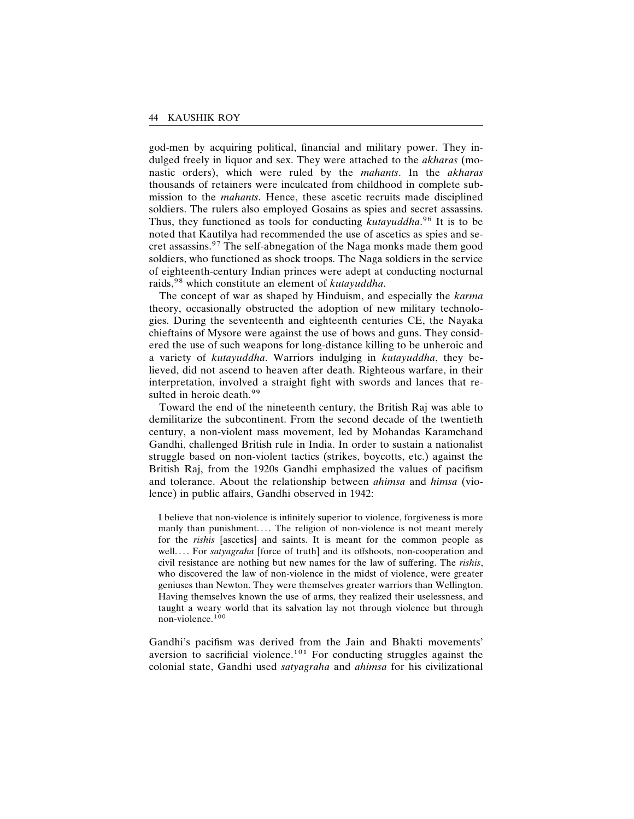god-men by acquiring political, financial and military power. They indulged freely in liquor and sex. They were attached to the akharas (monastic orders), which were ruled by the mahants. In the akharas thousands of retainers were inculcated from childhood in complete submission to the mahants. Hence, these ascetic recruits made disciplined soldiers. The rulers also employed Gosains as spies and secret assassins. Thus, they functioned as tools for conducting kutayuddha.<sup>96</sup> It is to be noted that Kautilya had recommended the use of ascetics as spies and secret assassins.97 The self-abnegation of the Naga monks made them good soldiers, who functioned as shock troops. The Naga soldiers in the service of eighteenth-century Indian princes were adept at conducting nocturnal raids,<sup>98</sup> which constitute an element of *kutayuddha*.

The concept of war as shaped by Hinduism, and especially the karma theory, occasionally obstructed the adoption of new military technologies. During the seventeenth and eighteenth centuries CE, the Nayaka chieftains of Mysore were against the use of bows and guns. They considered the use of such weapons for long-distance killing to be unheroic and a variety of kutayuddha. Warriors indulging in kutayuddha, they believed, did not ascend to heaven after death. Righteous warfare, in their interpretation, involved a straight fight with swords and lances that resulted in heroic death.<sup>99</sup>

Toward the end of the nineteenth century, the British Raj was able to demilitarize the subcontinent. From the second decade of the twentieth century, a non-violent mass movement, led by Mohandas Karamchand Gandhi, challenged British rule in India. In order to sustain a nationalist struggle based on non-violent tactics (strikes, boycotts, etc.) against the British Raj, from the 1920s Gandhi emphasized the values of pacifism and tolerance. About the relationship between ahimsa and himsa (violence) in public affairs, Gandhi observed in 1942:

I believe that non-violence is infinitely superior to violence, forgiveness is more manly than punishment.... The religion of non-violence is not meant merely for the rishis [ascetics] and saints. It is meant for the common people as well.... For *satyagraha* [force of truth] and its offshoots, non-cooperation and civil resistance are nothing but new names for the law of suffering. The rishis, who discovered the law of non-violence in the midst of violence, were greater geniuses than Newton. They were themselves greater warriors than Wellington. Having themselves known the use of arms, they realized their uselessness, and taught a weary world that its salvation lay not through violence but through non-violence.100

Gandhi's pacifism was derived from the Jain and Bhakti movements' aversion to sacrificial violence.<sup>101</sup> For conducting struggles against the colonial state, Gandhi used satyagraha and ahimsa for his civilizational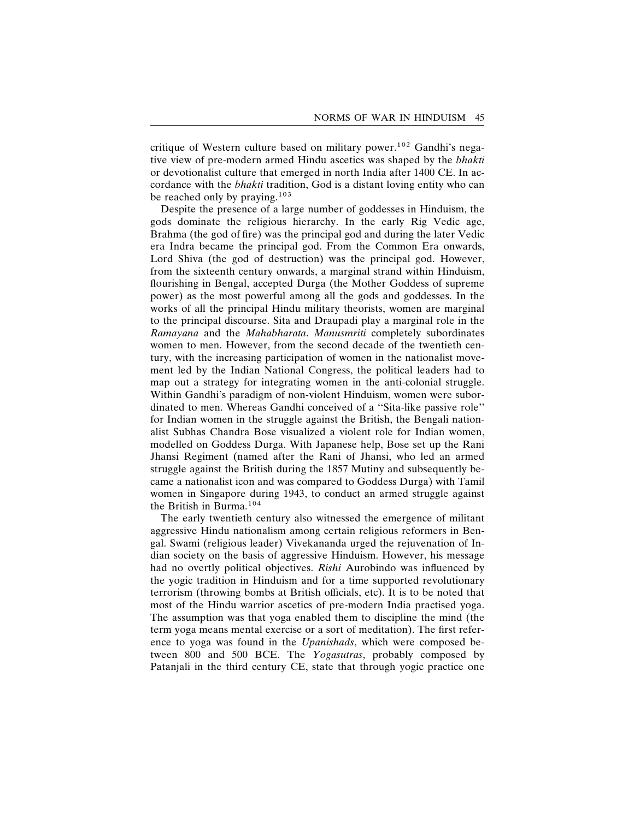critique of Western culture based on military power.<sup>102</sup> Gandhi's negative view of pre-modern armed Hindu ascetics was shaped by the bhakti or devotionalist culture that emerged in north India after 1400 CE. In accordance with the *bhakti* tradition, God is a distant loving entity who can be reached only by praying.<sup>103</sup>

Despite the presence of a large number of goddesses in Hinduism, the gods dominate the religious hierarchy. In the early Rig Vedic age, Brahma (the god of fire) was the principal god and during the later Vedic era Indra became the principal god. From the Common Era onwards, Lord Shiva (the god of destruction) was the principal god. However, from the sixteenth century onwards, a marginal strand within Hinduism, flourishing in Bengal, accepted Durga (the Mother Goddess of supreme power) as the most powerful among all the gods and goddesses. In the works of all the principal Hindu military theorists, women are marginal to the principal discourse. Sita and Draupadi play a marginal role in the Ramayana and the Mahabharata. Manusmriti completely subordinates women to men. However, from the second decade of the twentieth century, with the increasing participation of women in the nationalist movement led by the Indian National Congress, the political leaders had to map out a strategy for integrating women in the anti-colonial struggle. Within Gandhi's paradigm of non-violent Hinduism, women were subordinated to men. Whereas Gandhi conceived of a ''Sita-like passive role'' for Indian women in the struggle against the British, the Bengali nationalist Subhas Chandra Bose visualized a violent role for Indian women, modelled on Goddess Durga. With Japanese help, Bose set up the Rani Jhansi Regiment (named after the Rani of Jhansi, who led an armed struggle against the British during the 1857 Mutiny and subsequently became a nationalist icon and was compared to Goddess Durga) with Tamil women in Singapore during 1943, to conduct an armed struggle against the British in Burma.104

The early twentieth century also witnessed the emergence of militant aggressive Hindu nationalism among certain religious reformers in Bengal. Swami (religious leader) Vivekananda urged the rejuvenation of Indian society on the basis of aggressive Hinduism. However, his message had no overtly political objectives. Rishi Aurobindo was influenced by the yogic tradition in Hinduism and for a time supported revolutionary terrorism (throwing bombs at British officials, etc). It is to be noted that most of the Hindu warrior ascetics of pre-modern India practised yoga. The assumption was that yoga enabled them to discipline the mind (the term yoga means mental exercise or a sort of meditation). The first reference to yoga was found in the Upanishads, which were composed between 800 and 500 BCE. The Yogasutras, probably composed by Patanjali in the third century CE, state that through yogic practice one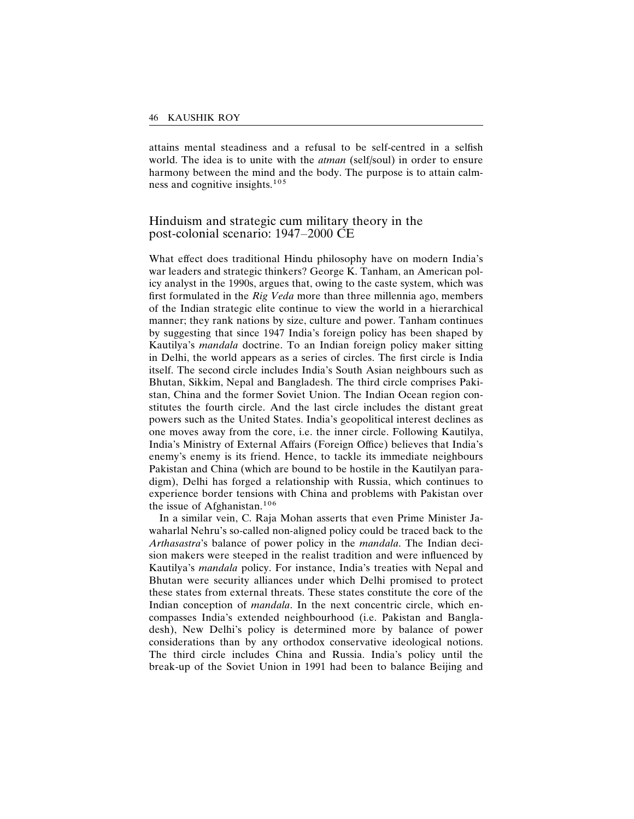attains mental steadiness and a refusal to be self-centred in a selfish world. The idea is to unite with the *atman* (self/soul) in order to ensure harmony between the mind and the body. The purpose is to attain calmness and cognitive insights.105

### Hinduism and strategic cum military theory in the post-colonial scenario: 1947–2000 CE

What effect does traditional Hindu philosophy have on modern India's war leaders and strategic thinkers? George K. Tanham, an American policy analyst in the 1990s, argues that, owing to the caste system, which was first formulated in the Rig Veda more than three millennia ago, members of the Indian strategic elite continue to view the world in a hierarchical manner; they rank nations by size, culture and power. Tanham continues by suggesting that since 1947 India's foreign policy has been shaped by Kautilya's mandala doctrine. To an Indian foreign policy maker sitting in Delhi, the world appears as a series of circles. The first circle is India itself. The second circle includes India's South Asian neighbours such as Bhutan, Sikkim, Nepal and Bangladesh. The third circle comprises Pakistan, China and the former Soviet Union. The Indian Ocean region constitutes the fourth circle. And the last circle includes the distant great powers such as the United States. India's geopolitical interest declines as one moves away from the core, i.e. the inner circle. Following Kautilya, India's Ministry of External Affairs (Foreign Office) believes that India's enemy's enemy is its friend. Hence, to tackle its immediate neighbours Pakistan and China (which are bound to be hostile in the Kautilyan paradigm), Delhi has forged a relationship with Russia, which continues to experience border tensions with China and problems with Pakistan over the issue of Afghanistan.106

In a similar vein, C. Raja Mohan asserts that even Prime Minister Jawaharlal Nehru's so-called non-aligned policy could be traced back to the Arthasastra's balance of power policy in the mandala. The Indian decision makers were steeped in the realist tradition and were influenced by Kautilya's mandala policy. For instance, India's treaties with Nepal and Bhutan were security alliances under which Delhi promised to protect these states from external threats. These states constitute the core of the Indian conception of mandala. In the next concentric circle, which encompasses India's extended neighbourhood (i.e. Pakistan and Bangladesh), New Delhi's policy is determined more by balance of power considerations than by any orthodox conservative ideological notions. The third circle includes China and Russia. India's policy until the break-up of the Soviet Union in 1991 had been to balance Beijing and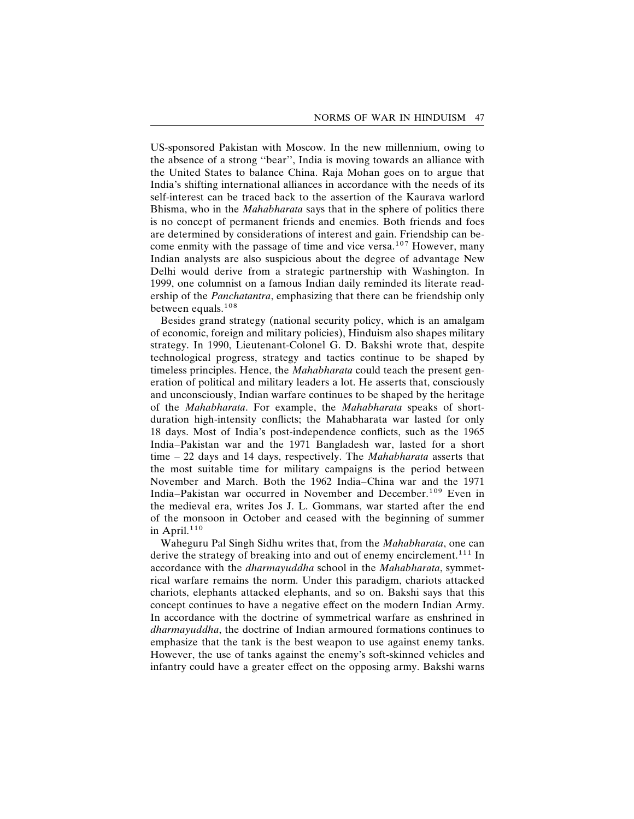US-sponsored Pakistan with Moscow. In the new millennium, owing to the absence of a strong ''bear'', India is moving towards an alliance with the United States to balance China. Raja Mohan goes on to argue that India's shifting international alliances in accordance with the needs of its self-interest can be traced back to the assertion of the Kaurava warlord Bhisma, who in the Mahabharata says that in the sphere of politics there is no concept of permanent friends and enemies. Both friends and foes are determined by considerations of interest and gain. Friendship can become enmity with the passage of time and vice versa.<sup>107</sup> However, many Indian analysts are also suspicious about the degree of advantage New Delhi would derive from a strategic partnership with Washington. In 1999, one columnist on a famous Indian daily reminded its literate readership of the Panchatantra, emphasizing that there can be friendship only between equals.108

Besides grand strategy (national security policy, which is an amalgam of economic, foreign and military policies), Hinduism also shapes military strategy. In 1990, Lieutenant-Colonel G. D. Bakshi wrote that, despite technological progress, strategy and tactics continue to be shaped by timeless principles. Hence, the *Mahabharata* could teach the present generation of political and military leaders a lot. He asserts that, consciously and unconsciously, Indian warfare continues to be shaped by the heritage of the Mahabharata. For example, the Mahabharata speaks of shortduration high-intensity conflicts; the Mahabharata war lasted for only 18 days. Most of India's post-independence conflicts, such as the 1965 India–Pakistan war and the 1971 Bangladesh war, lasted for a short time  $-22$  days and 14 days, respectively. The *Mahabharata* asserts that the most suitable time for military campaigns is the period between November and March. Both the 1962 India–China war and the 1971 India–Pakistan war occurred in November and December.109 Even in the medieval era, writes Jos J. L. Gommans, war started after the end of the monsoon in October and ceased with the beginning of summer in April. $110$ 

Waheguru Pal Singh Sidhu writes that, from the Mahabharata, one can derive the strategy of breaking into and out of enemy encirclement.<sup>111</sup> In accordance with the dharmayuddha school in the Mahabharata, symmetrical warfare remains the norm. Under this paradigm, chariots attacked chariots, elephants attacked elephants, and so on. Bakshi says that this concept continues to have a negative effect on the modern Indian Army. In accordance with the doctrine of symmetrical warfare as enshrined in dharmayuddha, the doctrine of Indian armoured formations continues to emphasize that the tank is the best weapon to use against enemy tanks. However, the use of tanks against the enemy's soft-skinned vehicles and infantry could have a greater effect on the opposing army. Bakshi warns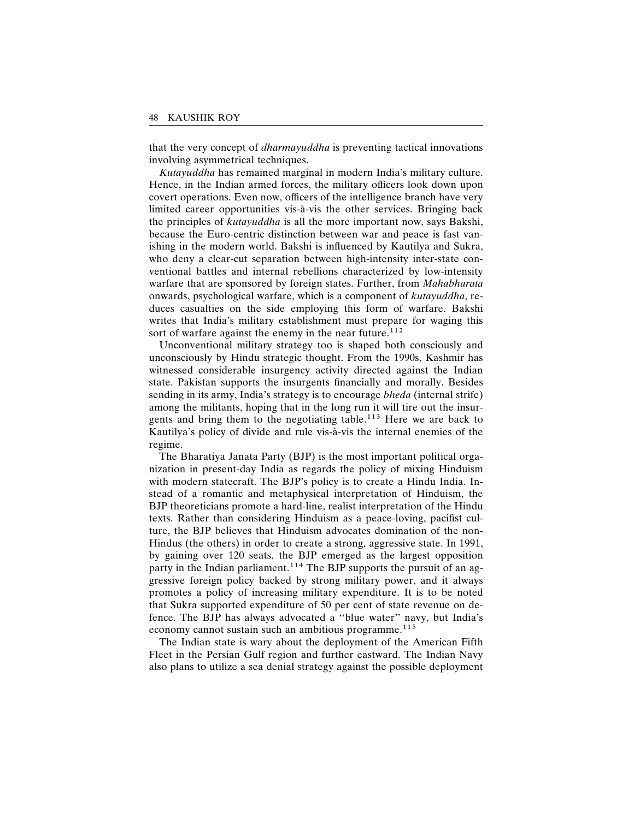that the very concept of dharmayuddha is preventing tactical innovations involving asymmetrical techniques.

Kutayuddha has remained marginal in modern India's military culture. Hence, in the Indian armed forces, the military officers look down upon covert operations. Even now, officers of the intelligence branch have very limited career opportunities vis-à-vis the other services. Bringing back the principles of kutayuddha is all the more important now, says Bakshi, because the Euro-centric distinction between war and peace is fast vanishing in the modern world. Bakshi is influenced by Kautilya and Sukra, who deny a clear-cut separation between high-intensity inter-state conventional battles and internal rebellions characterized by low-intensity warfare that are sponsored by foreign states. Further, from Mahabharata onwards, psychological warfare, which is a component of kutayuddha, reduces casualties on the side employing this form of warfare. Bakshi writes that India's military establishment must prepare for waging this sort of warfare against the enemy in the near future. $112$ 

Unconventional military strategy too is shaped both consciously and unconsciously by Hindu strategic thought. From the 1990s, Kashmir has witnessed considerable insurgency activity directed against the Indian state. Pakistan supports the insurgents financially and morally. Besides sending in its army, India's strategy is to encourage bheda (internal strife) among the militants, hoping that in the long run it will tire out the insurgents and bring them to the negotiating table.<sup>113</sup> Here we are back to Kautilya's policy of divide and rule vis-à-vis the internal enemies of the regime.

The Bharatiya Janata Party (BJP) is the most important political organization in present-day India as regards the policy of mixing Hinduism with modern statecraft. The BJP's policy is to create a Hindu India. Instead of a romantic and metaphysical interpretation of Hinduism, the BJP theoreticians promote a hard-line, realist interpretation of the Hindu texts. Rather than considering Hinduism as a peace-loving, pacifist culture, the BJP believes that Hinduism advocates domination of the non-Hindus (the others) in order to create a strong, aggressive state. In 1991, by gaining over 120 seats, the BJP emerged as the largest opposition party in the Indian parliament.<sup>114</sup> The BJP supports the pursuit of an aggressive foreign policy backed by strong military power, and it always promotes a policy of increasing military expenditure. It is to be noted that Sukra supported expenditure of 50 per cent of state revenue on defence. The BJP has always advocated a ''blue water'' navy, but India's economy cannot sustain such an ambitious programme.<sup>115</sup>

The Indian state is wary about the deployment of the American Fifth Fleet in the Persian Gulf region and further eastward. The Indian Navy also plans to utilize a sea denial strategy against the possible deployment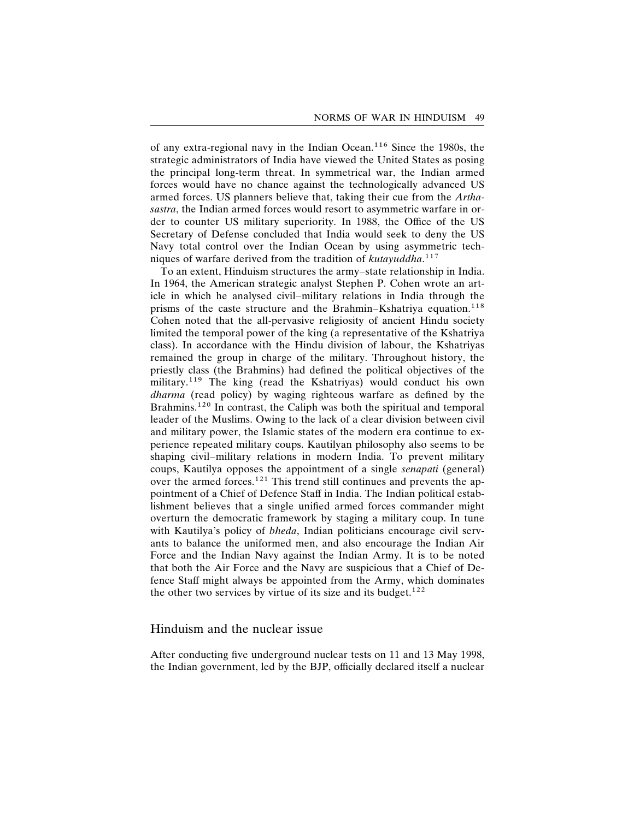of any extra-regional navy in the Indian Ocean.116 Since the 1980s, the strategic administrators of India have viewed the United States as posing the principal long-term threat. In symmetrical war, the Indian armed forces would have no chance against the technologically advanced US armed forces. US planners believe that, taking their cue from the Arthasastra, the Indian armed forces would resort to asymmetric warfare in order to counter US military superiority. In 1988, the Office of the US Secretary of Defense concluded that India would seek to deny the US Navy total control over the Indian Ocean by using asymmetric techniques of warfare derived from the tradition of *kutavuddha*.<sup>117</sup>

To an extent, Hinduism structures the army–state relationship in India. In 1964, the American strategic analyst Stephen P. Cohen wrote an article in which he analysed civil–military relations in India through the prisms of the caste structure and the Brahmin–Kshatriya equation.118 Cohen noted that the all-pervasive religiosity of ancient Hindu society limited the temporal power of the king (a representative of the Kshatriya class). In accordance with the Hindu division of labour, the Kshatriyas remained the group in charge of the military. Throughout history, the priestly class (the Brahmins) had defined the political objectives of the military.<sup>119</sup> The king (read the Kshatriyas) would conduct his own dharma (read policy) by waging righteous warfare as defined by the Brahmins.<sup>120</sup> In contrast, the Caliph was both the spiritual and temporal leader of the Muslims. Owing to the lack of a clear division between civil and military power, the Islamic states of the modern era continue to experience repeated military coups. Kautilyan philosophy also seems to be shaping civil–military relations in modern India. To prevent military coups, Kautilya opposes the appointment of a single senapati (general) over the armed forces.<sup>121</sup> This trend still continues and prevents the appointment of a Chief of Defence Staff in India. The Indian political establishment believes that a single unified armed forces commander might overturn the democratic framework by staging a military coup. In tune with Kautilya's policy of *bheda*, Indian politicians encourage civil servants to balance the uniformed men, and also encourage the Indian Air Force and the Indian Navy against the Indian Army. It is to be noted that both the Air Force and the Navy are suspicious that a Chief of Defence Staff might always be appointed from the Army, which dominates the other two services by virtue of its size and its budget.<sup>122</sup>

# Hinduism and the nuclear issue

After conducting five underground nuclear tests on 11 and 13 May 1998, the Indian government, led by the BJP, officially declared itself a nuclear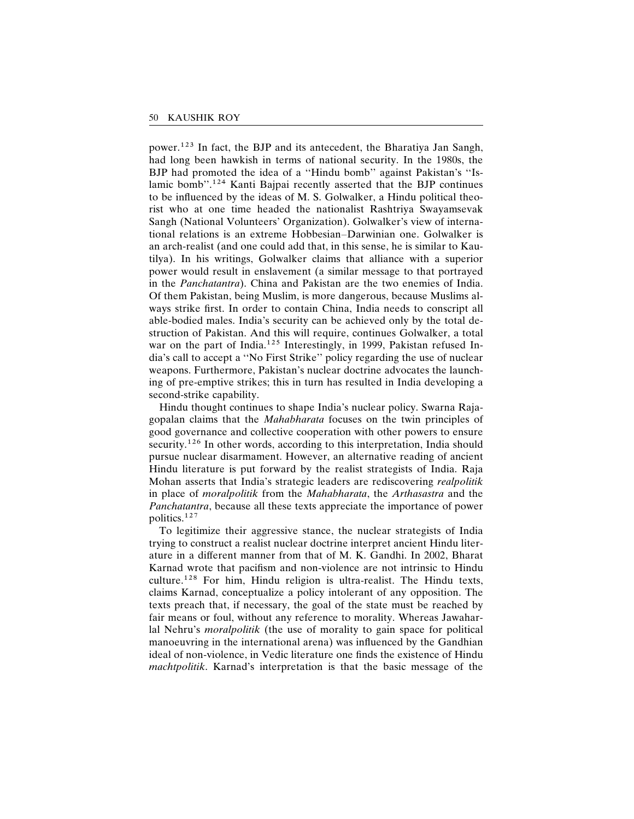power.123 In fact, the BJP and its antecedent, the Bharatiya Jan Sangh, had long been hawkish in terms of national security. In the 1980s, the BJP had promoted the idea of a ''Hindu bomb'' against Pakistan's ''Islamic bomb''.124 Kanti Bajpai recently asserted that the BJP continues to be influenced by the ideas of M. S. Golwalker, a Hindu political theorist who at one time headed the nationalist Rashtriya Swayamsevak Sangh (National Volunteers' Organization). Golwalker's view of international relations is an extreme Hobbesian–Darwinian one. Golwalker is an arch-realist (and one could add that, in this sense, he is similar to Kautilya). In his writings, Golwalker claims that alliance with a superior power would result in enslavement (a similar message to that portrayed in the Panchatantra). China and Pakistan are the two enemies of India. Of them Pakistan, being Muslim, is more dangerous, because Muslims always strike first. In order to contain China, India needs to conscript all able-bodied males. India's security can be achieved only by the total destruction of Pakistan. And this will require, continues Golwalker, a total war on the part of India.<sup>125</sup> Interestingly, in 1999, Pakistan refused India's call to accept a ''No First Strike'' policy regarding the use of nuclear weapons. Furthermore, Pakistan's nuclear doctrine advocates the launching of pre-emptive strikes; this in turn has resulted in India developing a second-strike capability.

Hindu thought continues to shape India's nuclear policy. Swarna Rajagopalan claims that the Mahabharata focuses on the twin principles of good governance and collective cooperation with other powers to ensure security.<sup>126</sup> In other words, according to this interpretation, India should pursue nuclear disarmament. However, an alternative reading of ancient Hindu literature is put forward by the realist strategists of India. Raja Mohan asserts that India's strategic leaders are rediscovering realpolitik in place of moralpolitik from the Mahabharata, the Arthasastra and the Panchatantra, because all these texts appreciate the importance of power politics.127

To legitimize their aggressive stance, the nuclear strategists of India trying to construct a realist nuclear doctrine interpret ancient Hindu literature in a different manner from that of M. K. Gandhi. In 2002, Bharat Karnad wrote that pacifism and non-violence are not intrinsic to Hindu culture.128 For him, Hindu religion is ultra-realist. The Hindu texts, claims Karnad, conceptualize a policy intolerant of any opposition. The texts preach that, if necessary, the goal of the state must be reached by fair means or foul, without any reference to morality. Whereas Jawaharlal Nehru's *moralpolitik* (the use of morality to gain space for political manoeuvring in the international arena) was influenced by the Gandhian ideal of non-violence, in Vedic literature one finds the existence of Hindu machtpolitik. Karnad's interpretation is that the basic message of the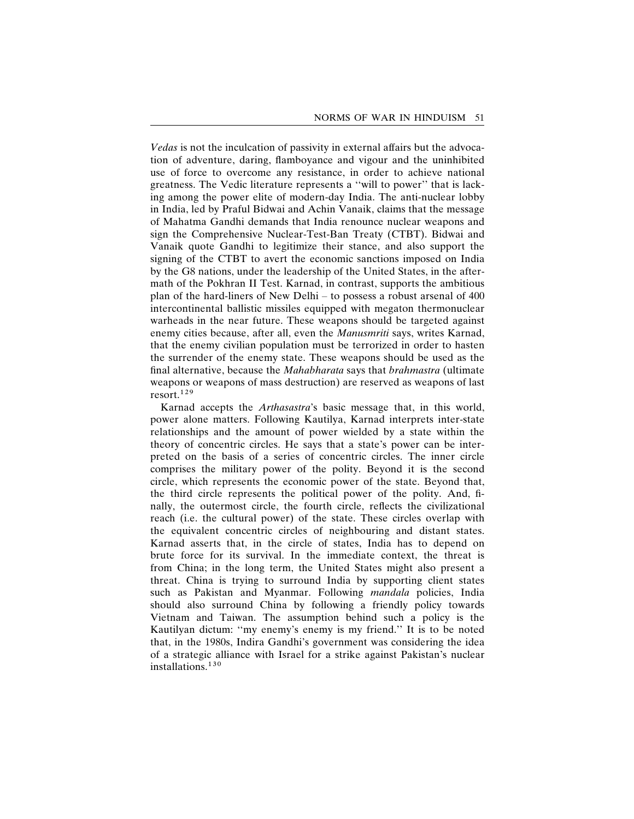Vedas is not the inculcation of passivity in external affairs but the advocation of adventure, daring, flamboyance and vigour and the uninhibited use of force to overcome any resistance, in order to achieve national greatness. The Vedic literature represents a ''will to power'' that is lacking among the power elite of modern-day India. The anti-nuclear lobby in India, led by Praful Bidwai and Achin Vanaik, claims that the message of Mahatma Gandhi demands that India renounce nuclear weapons and sign the Comprehensive Nuclear-Test-Ban Treaty (CTBT). Bidwai and Vanaik quote Gandhi to legitimize their stance, and also support the signing of the CTBT to avert the economic sanctions imposed on India by the G8 nations, under the leadership of the United States, in the aftermath of the Pokhran II Test. Karnad, in contrast, supports the ambitious plan of the hard-liners of New Delhi – to possess a robust arsenal of 400 intercontinental ballistic missiles equipped with megaton thermonuclear warheads in the near future. These weapons should be targeted against enemy cities because, after all, even the Manusmriti says, writes Karnad, that the enemy civilian population must be terrorized in order to hasten the surrender of the enemy state. These weapons should be used as the final alternative, because the Mahabharata says that brahmastra (ultimate weapons or weapons of mass destruction) are reserved as weapons of last resort.129

Karnad accepts the Arthasastra's basic message that, in this world, power alone matters. Following Kautilya, Karnad interprets inter-state relationships and the amount of power wielded by a state within the theory of concentric circles. He says that a state's power can be interpreted on the basis of a series of concentric circles. The inner circle comprises the military power of the polity. Beyond it is the second circle, which represents the economic power of the state. Beyond that, the third circle represents the political power of the polity. And, finally, the outermost circle, the fourth circle, reflects the civilizational reach (i.e. the cultural power) of the state. These circles overlap with the equivalent concentric circles of neighbouring and distant states. Karnad asserts that, in the circle of states, India has to depend on brute force for its survival. In the immediate context, the threat is from China; in the long term, the United States might also present a threat. China is trying to surround India by supporting client states such as Pakistan and Myanmar. Following *mandala* policies, India should also surround China by following a friendly policy towards Vietnam and Taiwan. The assumption behind such a policy is the Kautilyan dictum: ''my enemy's enemy is my friend.'' It is to be noted that, in the 1980s, Indira Gandhi's government was considering the idea of a strategic alliance with Israel for a strike against Pakistan's nuclear installations.130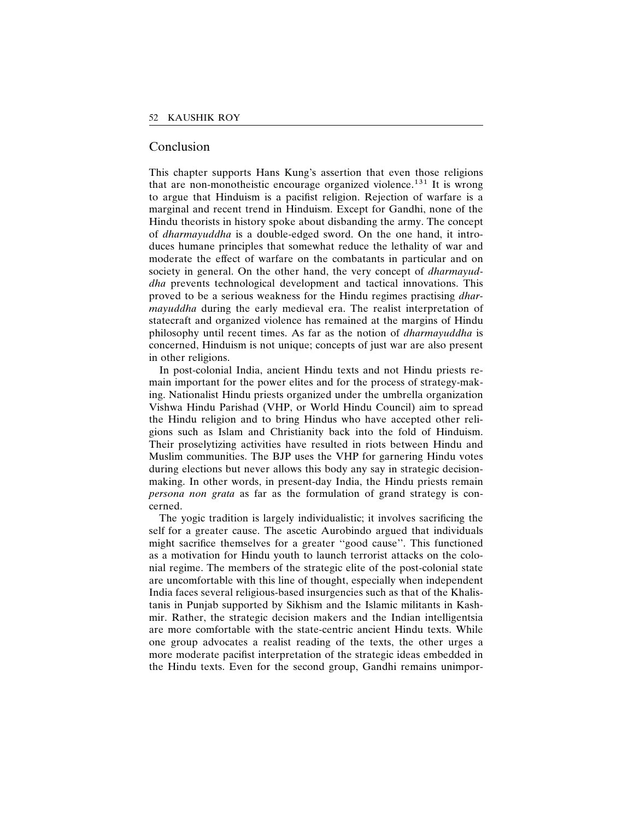## Conclusion

This chapter supports Hans Kung's assertion that even those religions that are non-monotheistic encourage organized violence.<sup>131</sup> It is wrong to argue that Hinduism is a pacifist religion. Rejection of warfare is a marginal and recent trend in Hinduism. Except for Gandhi, none of the Hindu theorists in history spoke about disbanding the army. The concept of dharmayuddha is a double-edged sword. On the one hand, it introduces humane principles that somewhat reduce the lethality of war and moderate the effect of warfare on the combatants in particular and on society in general. On the other hand, the very concept of dharmayuddha prevents technological development and tactical innovations. This proved to be a serious weakness for the Hindu regimes practising dharmayuddha during the early medieval era. The realist interpretation of statecraft and organized violence has remained at the margins of Hindu philosophy until recent times. As far as the notion of dharmayuddha is concerned, Hinduism is not unique; concepts of just war are also present in other religions.

In post-colonial India, ancient Hindu texts and not Hindu priests remain important for the power elites and for the process of strategy-making. Nationalist Hindu priests organized under the umbrella organization Vishwa Hindu Parishad (VHP, or World Hindu Council) aim to spread the Hindu religion and to bring Hindus who have accepted other religions such as Islam and Christianity back into the fold of Hinduism. Their proselytizing activities have resulted in riots between Hindu and Muslim communities. The BJP uses the VHP for garnering Hindu votes during elections but never allows this body any say in strategic decisionmaking. In other words, in present-day India, the Hindu priests remain persona non grata as far as the formulation of grand strategy is concerned.

The yogic tradition is largely individualistic; it involves sacrificing the self for a greater cause. The ascetic Aurobindo argued that individuals might sacrifice themselves for a greater ''good cause''. This functioned as a motivation for Hindu youth to launch terrorist attacks on the colonial regime. The members of the strategic elite of the post-colonial state are uncomfortable with this line of thought, especially when independent India faces several religious-based insurgencies such as that of the Khalistanis in Punjab supported by Sikhism and the Islamic militants in Kashmir. Rather, the strategic decision makers and the Indian intelligentsia are more comfortable with the state-centric ancient Hindu texts. While one group advocates a realist reading of the texts, the other urges a more moderate pacifist interpretation of the strategic ideas embedded in the Hindu texts. Even for the second group, Gandhi remains unimpor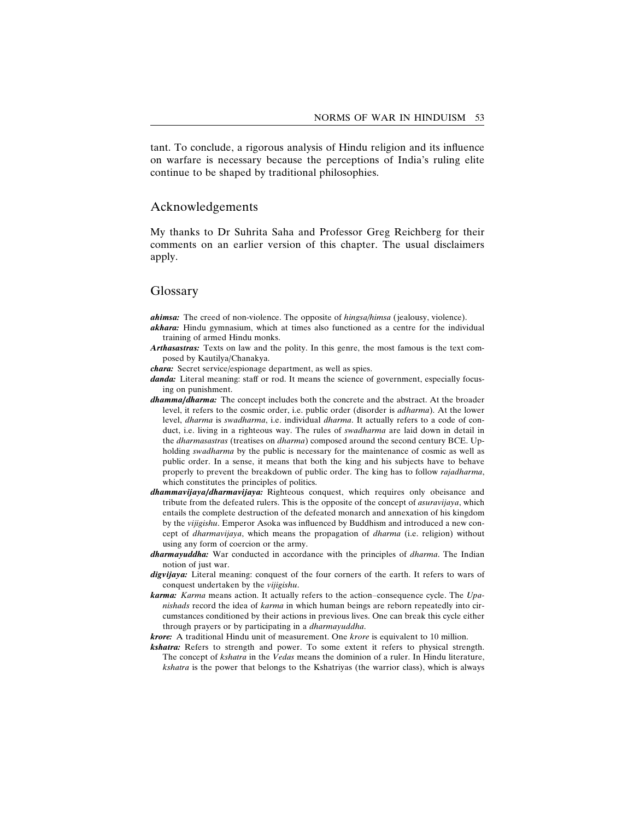tant. To conclude, a rigorous analysis of Hindu religion and its influence on warfare is necessary because the perceptions of India's ruling elite continue to be shaped by traditional philosophies.

#### Acknowledgements

My thanks to Dr Suhrita Saha and Professor Greg Reichberg for their comments on an earlier version of this chapter. The usual disclaimers apply.

#### Glossary

ahimsa: The creed of non-violence. The opposite of hingsa/himsa (jealousy, violence).

- akhara: Hindu gymnasium, which at times also functioned as a centre for the individual training of armed Hindu monks.
- Arthasastras: Texts on law and the polity. In this genre, the most famous is the text composed by Kautilya/Chanakya.

chara: Secret service/espionage department, as well as spies.

- danda: Literal meaning: staff or rod. It means the science of government, especially focusing on punishment.
- dhamma/dharma: The concept includes both the concrete and the abstract. At the broader level, it refers to the cosmic order, i.e. public order (disorder is adharma). At the lower level, dharma is swadharma, i.e. individual dharma. It actually refers to a code of conduct, i.e. living in a righteous way. The rules of swadharma are laid down in detail in the *dharmasastras* (treatises on *dharma*) composed around the second century BCE. Upholding *swadharma* by the public is necessary for the maintenance of cosmic as well as public order. In a sense, it means that both the king and his subjects have to behave properly to prevent the breakdown of public order. The king has to follow rajadharma, which constitutes the principles of politics.
- dhammavijaya/dharmavijaya: Righteous conquest, which requires only obeisance and tribute from the defeated rulers. This is the opposite of the concept of *asuravijaya*, which entails the complete destruction of the defeated monarch and annexation of his kingdom by the vijigishu. Emperor Asoka was influenced by Buddhism and introduced a new concept of dharmavijaya, which means the propagation of dharma (i.e. religion) without using any form of coercion or the army.
- dharmayuddha: War conducted in accordance with the principles of *dharma*. The Indian notion of just war.
- digvijaya: Literal meaning: conquest of the four corners of the earth. It refers to wars of conquest undertaken by the vijigishu.
- **karma:** Karma means action. It actually refers to the action–consequence cycle. The Upanishads record the idea of karma in which human beings are reborn repeatedly into circumstances conditioned by their actions in previous lives. One can break this cycle either through prayers or by participating in a dharmayuddha.
- **krore:** A traditional Hindu unit of measurement. One krore is equivalent to 10 million.
- kshatra: Refers to strength and power. To some extent it refers to physical strength. The concept of *kshatra* in the *Vedas* means the dominion of a ruler. In Hindu literature, kshatra is the power that belongs to the Kshatriyas (the warrior class), which is always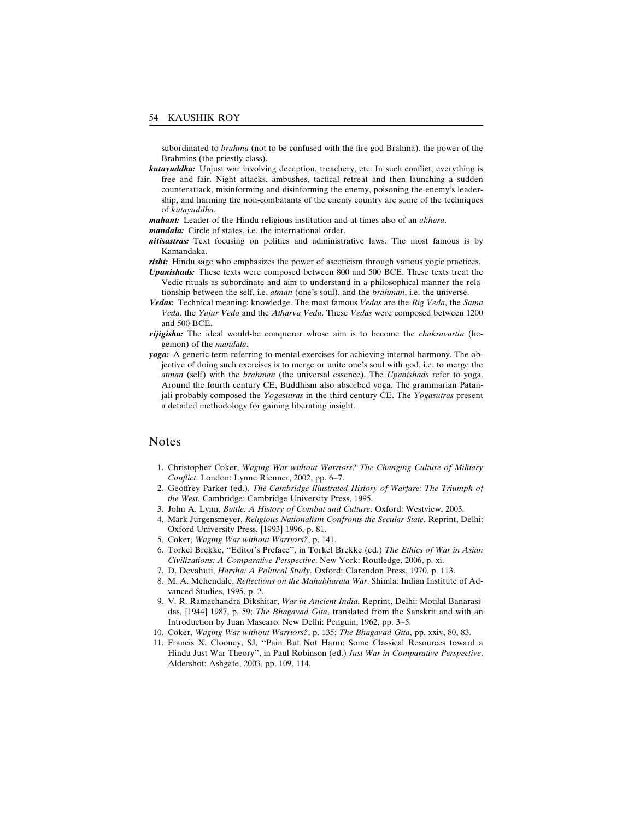subordinated to brahma (not to be confused with the fire god Brahma), the power of the Brahmins (the priestly class).

kutayuddha: Unjust war involving deception, treachery, etc. In such conflict, everything is free and fair. Night attacks, ambushes, tactical retreat and then launching a sudden counterattack, misinforming and disinforming the enemy, poisoning the enemy's leadership, and harming the non-combatants of the enemy country are some of the techniques of kutayuddha.

mahant: Leader of the Hindu religious institution and at times also of an akhara.

- mandala: Circle of states, i.e. the international order.
- nitisastras: Text focusing on politics and administrative laws. The most famous is by Kamandaka.
- rishi: Hindu sage who emphasizes the power of asceticism through various yogic practices. Upanishads: These texts were composed between 800 and 500 BCE. These texts treat the
- Vedic rituals as subordinate and aim to understand in a philosophical manner the relationship between the self, i.e. atman (one's soul), and the brahman, i.e. the universe.
- Vedas: Technical meaning: knowledge. The most famous Vedas are the Rig Veda, the Sama Veda, the Yajur Veda and the Atharva Veda. These Vedas were composed between 1200 and 500 BCE.
- vijigishu: The ideal would-be conqueror whose aim is to become the *chakravartin* (hegemon) of the mandala.
- yoga: A generic term referring to mental exercises for achieving internal harmony. The objective of doing such exercises is to merge or unite one's soul with god, i.e. to merge the atman (self) with the brahman (the universal essence). The Upanishads refer to yoga. Around the fourth century CE, Buddhism also absorbed yoga. The grammarian Patanjali probably composed the Yogasutras in the third century CE. The Yogasutras present a detailed methodology for gaining liberating insight.

## Notes

- 1. Christopher Coker, Waging War without Warriors? The Changing Culture of Military Conflict. London: Lynne Rienner, 2002, pp. 6–7.
- 2. Geoffrey Parker (ed.), The Cambridge Illustrated History of Warfare: The Triumph of the West. Cambridge: Cambridge University Press, 1995.
- 3. John A. Lynn, Battle: A History of Combat and Culture. Oxford: Westview, 2003.
- 4. Mark Jurgensmeyer, Religious Nationalism Confronts the Secular State. Reprint, Delhi: Oxford University Press, [1993] 1996, p. 81.
- 5. Coker, Waging War without Warriors?, p. 141.
- 6. Torkel Brekke, ''Editor's Preface'', in Torkel Brekke (ed.) The Ethics of War in Asian Civilizations: A Comparative Perspective. New York: Routledge, 2006, p. xi.
- 7. D. Devahuti, Harsha: A Political Study. Oxford: Clarendon Press, 1970, p. 113.
- 8. M. A. Mehendale, Reflections on the Mahabharata War. Shimla: Indian Institute of Advanced Studies, 1995, p. 2.
- 9. V. R. Ramachandra Dikshitar, War in Ancient India. Reprint, Delhi: Motilal Banarasidas, [1944] 1987, p. 59; The Bhagavad Gita, translated from the Sanskrit and with an Introduction by Juan Mascaro. New Delhi: Penguin, 1962, pp. 3–5.
- 10. Coker, Waging War without Warriors?, p. 135; The Bhagavad Gita, pp. xxiv, 80, 83.
- 11. Francis X. Clooney, SJ, ''Pain But Not Harm: Some Classical Resources toward a Hindu Just War Theory'', in Paul Robinson (ed.) Just War in Comparative Perspective. Aldershot: Ashgate, 2003, pp. 109, 114.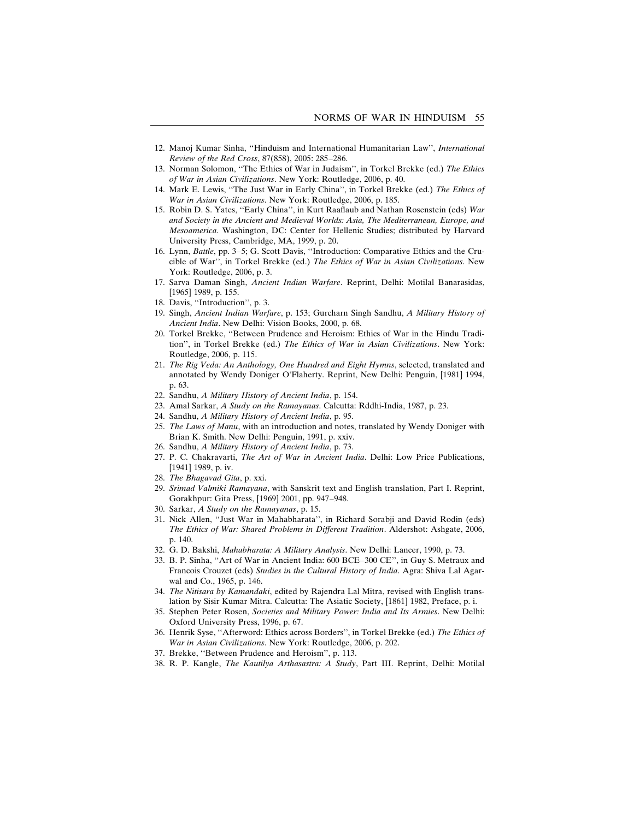- 12. Manoj Kumar Sinha, ''Hinduism and International Humanitarian Law'', International Review of the Red Cross, 87(858), 2005: 285–286.
- 13. Norman Solomon, ''The Ethics of War in Judaism'', in Torkel Brekke (ed.) The Ethics of War in Asian Civilizations. New York: Routledge, 2006, p. 40.
- 14. Mark E. Lewis, ''The Just War in Early China'', in Torkel Brekke (ed.) The Ethics of War in Asian Civilizations. New York: Routledge, 2006, p. 185.
- 15. Robin D. S. Yates, ''Early China'', in Kurt Raaflaub and Nathan Rosenstein (eds) War and Society in the Ancient and Medieval Worlds: Asia, The Mediterranean, Europe, and Mesoamerica. Washington, DC: Center for Hellenic Studies; distributed by Harvard University Press, Cambridge, MA, 1999, p. 20.
- 16. Lynn, Battle, pp. 3–5; G. Scott Davis, ''Introduction: Comparative Ethics and the Crucible of War'', in Torkel Brekke (ed.) The Ethics of War in Asian Civilizations. New York: Routledge, 2006, p. 3.
- 17. Sarva Daman Singh, Ancient Indian Warfare. Reprint, Delhi: Motilal Banarasidas, [1965] 1989, p. 155.
- 18. Davis, ''Introduction'', p. 3.
- 19. Singh, Ancient Indian Warfare, p. 153; Gurcharn Singh Sandhu, A Military History of Ancient India. New Delhi: Vision Books, 2000, p. 68.
- 20. Torkel Brekke, ''Between Prudence and Heroism: Ethics of War in the Hindu Tradition'', in Torkel Brekke (ed.) The Ethics of War in Asian Civilizations. New York: Routledge, 2006, p. 115.
- 21. The Rig Veda: An Anthology, One Hundred and Eight Hymns, selected, translated and annotated by Wendy Doniger O'Flaherty. Reprint, New Delhi: Penguin, [1981] 1994, p. 63.
- 22. Sandhu, A Military History of Ancient India, p. 154.
- 23. Amal Sarkar, A Study on the Ramayanas. Calcutta: Rddhi-India, 1987, p. 23.
- 24. Sandhu, A Military History of Ancient India, p. 95.
- 25. The Laws of Manu, with an introduction and notes, translated by Wendy Doniger with Brian K. Smith. New Delhi: Penguin, 1991, p. xxiv.
- 26. Sandhu, A Military History of Ancient India, p. 73.
- 27. P. C. Chakravarti, The Art of War in Ancient India. Delhi: Low Price Publications, [1941] 1989, p. iv.
- 28. The Bhagavad Gita, p. xxi.
- 29. Srimad Valmiki Ramayana, with Sanskrit text and English translation, Part I. Reprint, Gorakhpur: Gita Press, [1969] 2001, pp. 947–948.
- 30. Sarkar, A Study on the Ramayanas, p. 15.
- 31. Nick Allen, ''Just War in Mahabharata'', in Richard Sorabji and David Rodin (eds) The Ethics of War: Shared Problems in Different Tradition. Aldershot: Ashgate, 2006, p. 140.
- 32. G. D. Bakshi, Mahabharata: A Military Analysis. New Delhi: Lancer, 1990, p. 73.
- 33. B. P. Sinha, ''Art of War in Ancient India: 600 BCE–300 CE'', in Guy S. Metraux and Francois Crouzet (eds) Studies in the Cultural History of India. Agra: Shiva Lal Agarwal and Co., 1965, p. 146.
- 34. The Nitisara by Kamandaki, edited by Rajendra Lal Mitra, revised with English translation by Sisir Kumar Mitra. Calcutta: The Asiatic Society, [1861] 1982, Preface, p. i.
- 35. Stephen Peter Rosen, Societies and Military Power: India and Its Armies. New Delhi: Oxford University Press, 1996, p. 67.
- 36. Henrik Syse, ''Afterword: Ethics across Borders'', in Torkel Brekke (ed.) The Ethics of War in Asian Civilizations. New York: Routledge, 2006, p. 202.
- 37. Brekke, ''Between Prudence and Heroism'', p. 113.
- 38. R. P. Kangle, The Kautilya Arthasastra: A Study, Part III. Reprint, Delhi: Motilal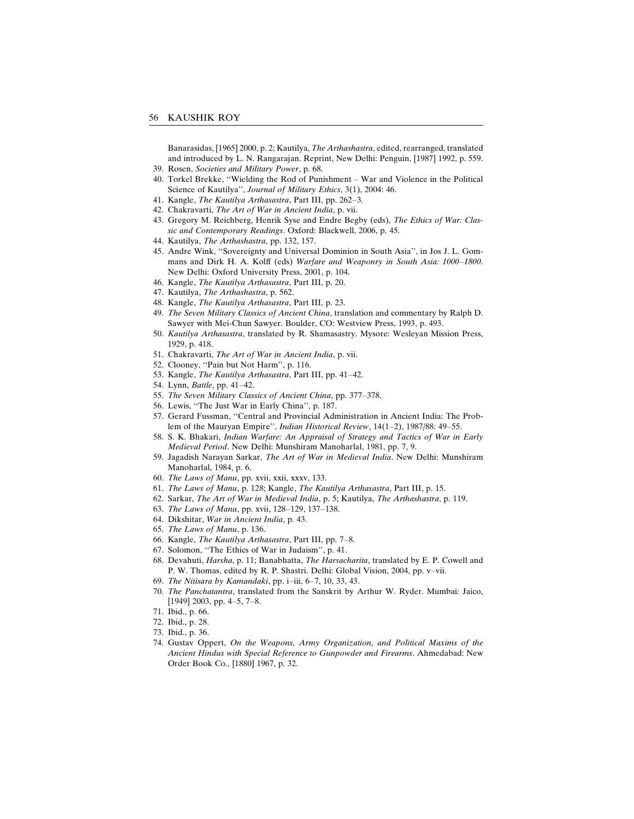Banarasidas, [1965] 2000, p. 2; Kautilya, The Arthashastra, edited, rearranged, translated and introduced by L. N. Rangarajan. Reprint, New Delhi: Penguin, [1987] 1992, p. 559.

- 39. Rosen, Societies and Military Power, p. 68.
- 40. Torkel Brekke, ''Wielding the Rod of Punishment War and Violence in the Political Science of Kautilya", Journal of Military Ethics, 3(1), 2004: 46.
- 41. Kangle, The Kautilya Arthasastra, Part III, pp. 262–3.
- 42. Chakravarti, The Art of War in Ancient India, p. vii.
- 43. Gregory M. Reichberg, Henrik Syse and Endre Begby (eds), The Ethics of War: Classic and Contemporary Readings. Oxford: Blackwell, 2006, p. 45.
- 44. Kautilya, The Arthashastra, pp. 132, 157.
- 45. Andre Wink, ''Sovereignty and Universal Dominion in South Asia'', in Jos J. L. Gommans and Dirk H. A. Kolff (eds) Warfare and Weaponry in South Asia: 1000–1800. New Delhi: Oxford University Press, 2001, p. 104.
- 46. Kangle, The Kautilya Arthasastra, Part III, p. 20.
- 47. Kautilya, The Arthashastra, p. 562.
- 48. Kangle, The Kautilya Arthasastra, Part III, p. 23.
- 49. The Seven Military Classics of Ancient China, translation and commentary by Ralph D. Sawyer with Mei-Chun Sawyer. Boulder, CO: Westview Press, 1993, p. 493.
- 50. Kautilya Arthasastra, translated by R. Shamasastry. Mysore: Wesleyan Mission Press, 1929, p. 418.
- 51. Chakravarti, The Art of War in Ancient India, p. vii.
- 52. Clooney, ''Pain but Not Harm'', p. 116.
- 53. Kangle, The Kautilya Arthasastra, Part III, pp. 41–42.
- 54. Lynn, Battle, pp. 41–42.
- 55. The Seven Military Classics of Ancient China, pp. 377–378.
- 56. Lewis, ''The Just War in Early China'', p. 187.
- 57. Gerard Fussman, ''Central and Provincial Administration in Ancient India: The Problem of the Mauryan Empire'', Indian Historical Review, 14(1–2), 1987/88: 49–55.
- 58. S. K. Bhakari, Indian Warfare: An Appraisal of Strategy and Tactics of War in Early Medieval Period. New Delhi: Munshiram Manoharlal, 1981, pp. 7, 9.
- 59. Jagadish Narayan Sarkar, The Art of War in Medieval India. New Delhi: Munshiram Manoharlal, 1984, p. 6.
- 60. The Laws of Manu, pp. xvii, xxii, xxxv, 133.
- 61. The Laws of Manu, p. 128; Kangle, The Kautilya Arthasastra, Part III, p. 15.
- 62. Sarkar, The Art of War in Medieval India, p. 5; Kautilya, The Arthashastra, p. 119.
- 63. The Laws of Manu, pp. xvii, 128–129, 137–138.
- 64. Dikshitar, War in Ancient India, p. 43.
- 65. The Laws of Manu, p. 136.
- 66. Kangle, The Kautilya Arthasastra, Part III, pp. 7–8.
- 67. Solomon, ''The Ethics of War in Judaism'', p. 41.
- 68. Devahuti, Harsha, p. 11; Banabhatta, The Harsacharita, translated by E. P. Cowell and P. W. Thomas, edited by R. P. Shastri. Delhi: Global Vision, 2004, pp. v–vii.
- 69. The Nitisara by Kamandaki, pp. i–iii, 6–7, 10, 33, 43.
- 70. The Panchatantra, translated from the Sanskrit by Arthur W. Ryder. Mumbai: Jaico, [1949] 2003, pp. 4–5, 7–8.
- 71. Ibid., p. 66.
- 72. Ibid., p. 28.
- 73. Ibid., p. 36.
- 74. Gustav Oppert, On the Weapons, Army Organization, and Political Maxims of the Ancient Hindus with Special Reference to Gunpowder and Firearms. Ahmedabad: New Order Book Co., [1880] 1967, p. 32.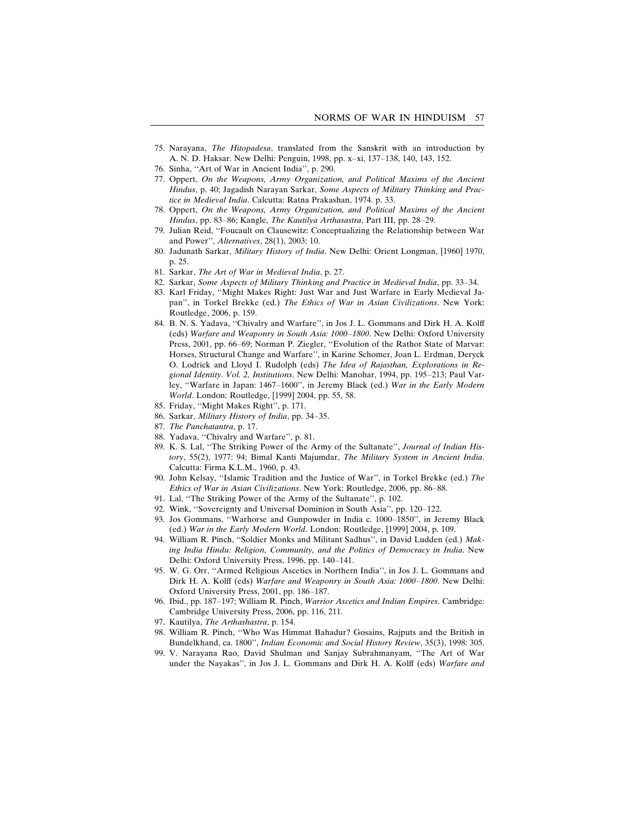- 75. Narayana, The Hitopadesa, translated from the Sanskrit with an introduction by A. N. D. Haksar. New Delhi: Penguin, 1998, pp. x–xi, 137–138, 140, 143, 152.
- 76. Sinha, ''Art of War in Ancient India'', p. 290.
- 77. Oppert, On the Weapons, Army Organization, and Political Maxims of the Ancient Hindus, p. 40; Jagadish Narayan Sarkar, Some Aspects of Military Thinking and Practice in Medieval India. Calcutta: Ratna Prakashan, 1974. p. 33.
- 78. Oppert, On the Weapons, Army Organization, and Political Maxims of the Ancient Hindus, pp. 83–86; Kangle, The Kautilya Arthasastra, Part III, pp. 28–29.
- 79. Julian Reid, ''Foucault on Clausewitz: Conceptualizing the Relationship between War and Power'', Alternatives, 28(1), 2003: 10.
- 80. Jadunath Sarkar, Military History of India. New Delhi: Orient Longman, [1960] 1970, p. 25.
- 81. Sarkar, The Art of War in Medieval India, p. 27.
- 82. Sarkar, Some Aspects of Military Thinking and Practice in Medieval India, pp. 33–34.
- 83. Karl Friday, ''Might Makes Right: Just War and Just Warfare in Early Medieval Japan", in Torkel Brekke (ed.) The Ethics of War in Asian Civilizations. New York: Routledge, 2006, p. 159.
- 84. B. N. S. Yadava, ''Chivalry and Warfare'', in Jos J. L. Gommans and Dirk H. A. Kolff (eds) Warfare and Weaponry in South Asia: 1000–1800. New Delhi: Oxford University Press, 2001, pp. 66–69; Norman P. Ziegler, ''Evolution of the Rathor State of Marvar: Horses, Structural Change and Warfare'', in Karine Schomer, Joan L. Erdman, Deryck O. Lodrick and Lloyd I. Rudolph (eds) The Idea of Rajasthan, Explorations in Regional Identity. Vol. 2, Institutions. New Delhi: Manohar, 1994, pp. 195–213; Paul Varley, ''Warfare in Japan: 1467–1600'', in Jeremy Black (ed.) War in the Early Modern World. London: Routledge, [1999] 2004, pp. 55, 58.
- 85. Friday, ''Might Makes Right'', p. 171.
- 86. Sarkar, Military History of India, pp. 34–35.
- 87. The Panchatantra, p. 17.
- 88. Yadava, ''Chivalry and Warfare'', p. 81.
- 89. K. S. Lal, ''The Striking Power of the Army of the Sultanate'', Journal of Indian History, 55(2), 1977: 94; Bimal Kanti Majumdar, The Military System in Ancient India. Calcutta: Firma K.L.M., 1960, p. 43.
- 90. John Kelsay, ''Islamic Tradition and the Justice of War'', in Torkel Brekke (ed.) The Ethics of War in Asian Civilizations. New York: Routledge, 2006, pp. 86–88.
- 91. Lal, ''The Striking Power of the Army of the Sultanate'', p. 102.
- 92. Wink, ''Sovereignty and Universal Dominion in South Asia'', pp. 120–122.
- 93. Jos Gommans, ''Warhorse and Gunpowder in India c. 1000–1850'', in Jeremy Black (ed.) War in the Early Modern World. London: Routledge, [1999] 2004, p. 109.
- 94. William R. Pinch, "Soldier Monks and Militant Sadhus", in David Ludden (ed.) Making India Hindu: Religion, Community, and the Politics of Democracy in India. New Delhi: Oxford University Press, 1996, pp. 140–141.
- 95. W. G. Orr, ''Armed Religious Ascetics in Northern India'', in Jos J. L. Gommans and Dirk H. A. Kolff (eds) Warfare and Weaponry in South Asia: 1000–1800. New Delhi: Oxford University Press, 2001, pp. 186–187.
- 96. Ibid., pp. 187–197; William R. Pinch, Warrior Ascetics and Indian Empires. Cambridge: Cambridge University Press, 2006, pp. 116, 211.
- 97. Kautilya, The Arthashastra, p. 154.
- 98. William R. Pinch, ''Who Was Himmat Bahadur? Gosains, Rajputs and the British in Bundelkhand, ca. 1800'', Indian Economic and Social History Review, 35(3), 1998: 305.
- 99. V. Narayana Rao, David Shulman and Sanjay Subrahmanyam, ''The Art of War under the Nayakas'', in Jos J. L. Gommans and Dirk H. A. Kolff (eds) Warfare and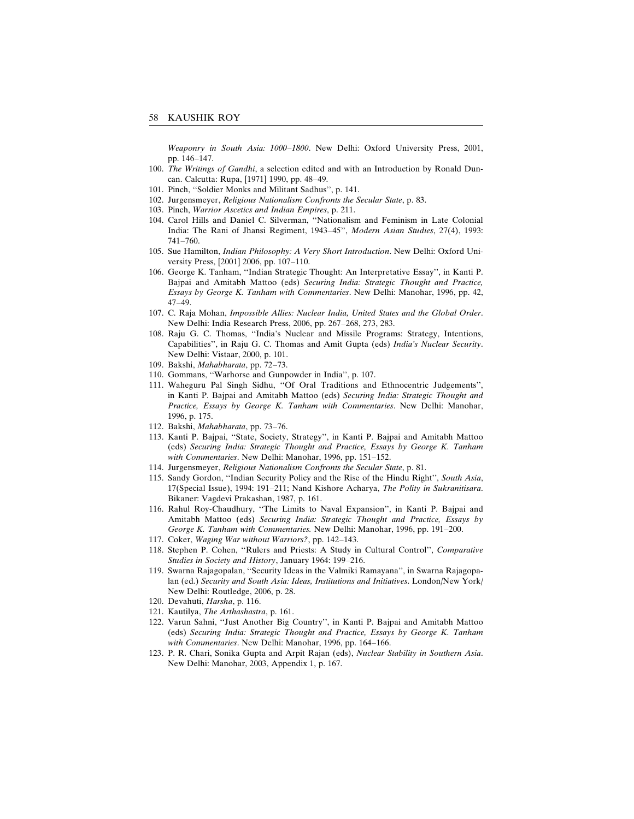Weaponry in South Asia: 1000–1800. New Delhi: Oxford University Press, 2001, pp. 146–147.

- 100. The Writings of Gandhi, a selection edited and with an Introduction by Ronald Duncan. Calcutta: Rupa, [1971] 1990, pp. 48–49.
- 101. Pinch, ''Soldier Monks and Militant Sadhus'', p. 141.
- 102. Jurgensmeyer, Religious Nationalism Confronts the Secular State, p. 83.
- 103. Pinch, Warrior Ascetics and Indian Empires, p. 211.
- 104. Carol Hills and Daniel C. Silverman, ''Nationalism and Feminism in Late Colonial India: The Rani of Jhansi Regiment, 1943–45'', Modern Asian Studies, 27(4), 1993: 741–760.
- 105. Sue Hamilton, Indian Philosophy: A Very Short Introduction. New Delhi: Oxford University Press, [2001] 2006, pp. 107–110.
- 106. George K. Tanham, ''Indian Strategic Thought: An Interpretative Essay'', in Kanti P. Bajpai and Amitabh Mattoo (eds) Securing India: Strategic Thought and Practice, Essays by George K. Tanham with Commentaries. New Delhi: Manohar, 1996, pp. 42, 47–49.
- 107. C. Raja Mohan, Impossible Allies: Nuclear India, United States and the Global Order. New Delhi: India Research Press, 2006, pp. 267–268, 273, 283.
- 108. Raju G. C. Thomas, ''India's Nuclear and Missile Programs: Strategy, Intentions, Capabilities'', in Raju G. C. Thomas and Amit Gupta (eds) India's Nuclear Security. New Delhi: Vistaar, 2000, p. 101.
- 109. Bakshi, Mahabharata, pp. 72–73.
- 110. Gommans, ''Warhorse and Gunpowder in India'', p. 107.
- 111. Waheguru Pal Singh Sidhu, ''Of Oral Traditions and Ethnocentric Judgements'', in Kanti P. Bajpai and Amitabh Mattoo (eds) Securing India: Strategic Thought and Practice, Essays by George K. Tanham with Commentaries. New Delhi: Manohar, 1996, p. 175.
- 112. Bakshi, Mahabharata, pp. 73–76.
- 113. Kanti P. Bajpai, ''State, Society, Strategy'', in Kanti P. Bajpai and Amitabh Mattoo (eds) Securing India: Strategic Thought and Practice, Essays by George K. Tanham with Commentaries. New Delhi: Manohar, 1996, pp. 151–152.
- 114. Jurgensmeyer, Religious Nationalism Confronts the Secular State, p. 81.
- 115. Sandy Gordon, ''Indian Security Policy and the Rise of the Hindu Right'', South Asia, 17(Special Issue), 1994: 191–211; Nand Kishore Acharya, The Polity in Sukranitisara. Bikaner: Vagdevi Prakashan, 1987, p. 161.
- 116. Rahul Roy-Chaudhury, ''The Limits to Naval Expansion'', in Kanti P. Bajpai and Amitabh Mattoo (eds) Securing India: Strategic Thought and Practice, Essays by George K. Tanham with Commentaries. New Delhi: Manohar, 1996, pp. 191–200.
- 117. Coker, Waging War without Warriors?, pp. 142–143.
- 118. Stephen P. Cohen, ''Rulers and Priests: A Study in Cultural Control'', Comparative Studies in Society and History, January 1964: 199–216.
- 119. Swarna Rajagopalan, ''Security Ideas in the Valmiki Ramayana'', in Swarna Rajagopalan (ed.) Security and South Asia: Ideas, Institutions and Initiatives. London/New York/ New Delhi: Routledge, 2006, p. 28.
- 120. Devahuti, Harsha, p. 116.
- 121. Kautilya, The Arthashastra, p. 161.
- 122. Varun Sahni, ''Just Another Big Country'', in Kanti P. Bajpai and Amitabh Mattoo (eds) Securing India: Strategic Thought and Practice, Essays by George K. Tanham with Commentaries. New Delhi: Manohar, 1996, pp. 164–166.
- 123. P. R. Chari, Sonika Gupta and Arpit Rajan (eds), Nuclear Stability in Southern Asia. New Delhi: Manohar, 2003, Appendix 1, p. 167.